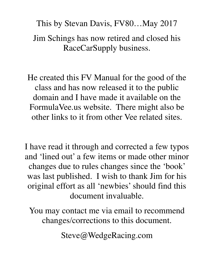# This by Stevan Davis, FV80…May 2017 Jim Schings has now retired and closed his RaceCarSupply business.

He created this FV Manual for the good of the class and has now released it to the public domain and I have made it available on the FormulaVee.us website. There might also be other links to it from other Vee related sites.

I have read it through and corrected a few typos and 'lined out' a few items or made other minor changes due to rules changes since the 'book' was last published. I wish to thank Jim for his original effort as all 'newbies' should find this document invaluable.

You may contact me via email to recommend changes/corrections to this document.

Steve@WedgeRacing.com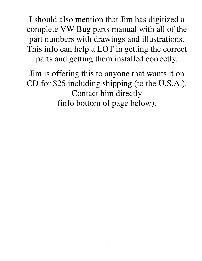I should also mention that Jim has digitized a complete VW Bug parts manual with all of the part numbers with drawings and illustrations. This info can help a LOT in getting the correct parts and getting them installed correctly.

Jim is offering this to anyone that wants it on CD for \$25 including shipping (to the U.S.A.). Contact him directly (info bottom of page below).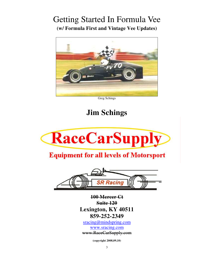## Getting Started In Formula Vee **(w/ Formula First and Vintage Vee Updates)**



Greg Schings

## **Jim Schings**



## **Equipment for all levels of Motorsport**



**100 Mercer Ct Suite 120 Lexington, KY 40511 859-252-2349** 

sracing@mindspring.com www.sracing.com www.RaceCarSupply.com

**(copyright 2008,09,10)**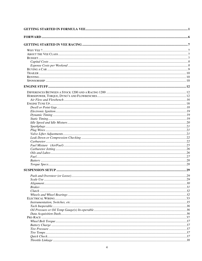| $\dots 29$ |
|------------|
|            |
|            |
|            |
|            |
|            |
|            |
|            |
|            |
|            |
|            |
|            |
|            |
|            |
|            |
|            |
|            |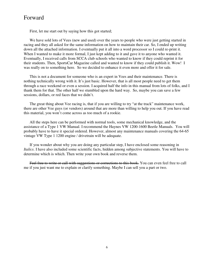### Forward

First, let me start out by saying how this got started;

We have sold lots of Vees (new and used) over the years to people who were just getting started in racing and they all asked for the same information on how to maintain their car. So, I ended up writing down all the attached information. I eventually put it all into a word processor so I could re-print it. When I wanted to make it more formal, I just kept adding to it and gave it to anyone who wanted it. Eventually, I received calls from SCCA club schools who wanted to know if they could reprint it for their students. Then, SportsCar Magazine called and wanted to know if they could publish it. Wow! I was really on to something here. So we decided to enhance it even more and offer it for sale.

This is not a document for someone who is an expert in Vees and their maintenance. There is nothing technically wrong with it. It's just basic. However, that is all most people need to get them through a race weekend or even a session. I acquired half the info in this manual from lots of folks, and I thank them for that. The other half we stumbled upon the hard way. So, maybe you can save a few sessions, dollars, or red faces that we didn't.

The great thing about Vee racing is, that if you are willing to try "at the track" maintenance work, there are other Vee guys (or vendors) around that are more than willing to help you out. If you have read this material, you won't come across as too much of a rookie.

All the steps here can be performed with normal tools, some mechanical knowledge, and the assistance of a Type 1 VW Manual. I recommend the Haynes VW 1200-1600 Beetle Manuals. You will probably have to have it special ordered. However, almost any maintenance manuals covering the 64-65 vintage VW Type 1 1200 engine / drivetrain will be adequate.

If you wonder about why you are doing any particular step, I have enclosed some reasoning in *Italics*. I have also included some scientific facts, hidden among subjective statements. You will have to determine which is which. Then write your own book and reverse them.

Feel free to write or call with suggestions or corrections to this book. You can even feel free to call me if you just want me to explain or clarify something. Maybe I can sell you a part or two.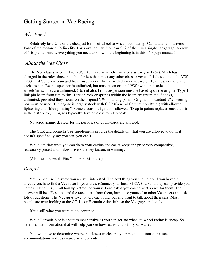### Getting Started in Vee Racing

#### *Why Vee ?*

Relatively fast. One of the cheapest forms of wheel to wheel road racing. Camaraderie of drivers. Ease of maintenance. Reliability. Parts availability. You can fit 2 of them in a single car garage. A crew of 1 is plenty. And… everything you need to know in the beginning is in this ~50 page manual!

#### *About the Vee Class*

The Vee class started in 1963 (SCCA. There were other versions as early as 1962). Much has changed in the rules since then, but far less than most any other class or venue. It is based upon the VW 1200 (1192cc) drive train and front suspension. The car with driver must weigh 1025 lbs. or more after each session. Rear suspension is unlimited, but must be an original VW swing transaxle and wheels/rims. Tires are unlimited. (No radials). Front suspension must be based upon the original Type 1 link pin beam from rim to rim. Torsion rods or springs within the beam are unlimited. Shocks, unlimited, provided they mount on the original VW mounting points. Original or standard VW steering box must be used. The engine is largely stock with GCR (General Competition Rules) with allowed lightening and "blue-printing". Some electronic ignitions allowed. (Drop in points replacements that fit in the distributor). Engines typically develop close to 60hp peak.

No aerodynamic devices for the purposes of down-force are allowed.

The GCR and Formula Vee supplements provide the details on what you are allowed to do. If it doesn't specifically say you can, you can't.

While limiting what you can do to your engine and car, it keeps the price very competitive, reasonably priced and makes drivers the key factors in winning.

(Also, see "Formula First", later in this book.)

### *Budget*

You're here, so I assume you are still interested. The next thing you should do, if you haven't already yet, is to find a Vee racer in your area. (Contact your local SCCA Club and they can provide you names. Or call us.) Call him up, introduce yourself and ask if you can crew at a race for them. The answer will be, "Yes". Attend the race, learn from them, introduce yourself to other Vee racers and ask lots of questions. The Vee guys love to help each other out and want to talk about their cars. Most people are over looking at the GT-1's or Formula Atlantic's, so the Vee guys are lonely.

If it's still what you want to do, continue.

While Formula Vee is about as inexpensive as you can get, no wheel to wheel racing is cheap. So here is some information that will help you see how realistic it is for your wallet.

You will have to determine where the closest tracks are, your method of transportation, accommodations and sustenance arrangements.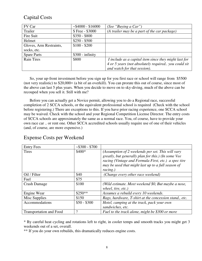### Capital Costs

| FV Car                  | $~54000 - $16000$ | (See "Buying a Car")                                  |
|-------------------------|-------------------|-------------------------------------------------------|
| Trailer                 | \$ Free - \$3000  | (A trailer may be a part of the car package)          |
| Fire Suit               | $$350 - $800$     |                                                       |
| Helmet                  | $$250 - $500$     |                                                       |
| Gloves, Arm Restraints, | $$100 - $200$     |                                                       |
| socks, etc.             |                   |                                                       |
| <b>Spare Parts</b>      | $$300$ - infinity |                                                       |
| <b>Rain Tires</b>       | \$800             | I include as a capital item since they might last for |
|                         |                   | 4 or 5 years (not absolutely required you could sit   |
|                         |                   | and watch for that session).                          |

So, your up-front investment before you sign up for you first race or school will range from \$5500 (not very realistic) to \$20,000+ (a bit of an overkill). You can prorate this out of course, since most of the above can last 5 plus years. When you decide to move on to sky-diving, much of the above can be recouped when you sell it. Still with me?

Before you can actually get a Novice permit, allowing you to do a Regional race, successful completion of 2 SCCA schools, or the equivalent professional school is required (Check with the school before registering.) There are exceptions to this. If you have prior racing experience, one SCCA school may be waived. Check with the school and your Regional Competition License Director. The entry costs of SCCA schools are approximately the same as a normal race. You, of course, have to provide your own race car .. or rent one. Other SCCA accredited schools usually require use of one of their vehicles (and, of course, are more expensive.)

| <b>Entry Fees</b>              | $~5300 - $700$ |                                                                                                                                                                                                                                    |
|--------------------------------|----------------|------------------------------------------------------------------------------------------------------------------------------------------------------------------------------------------------------------------------------------|
| Tires                          | $$400*$        | (Assumption of 2 weekends per set. This will vary<br>greatly, but generally plan for this.) (In some Vee<br>racing (Vintage and Formula First, etc.) a spec tire<br>may be used that might last up to a full season of<br>racing.) |
| Oil / Filter                   | \$40           | (Change every other race weekend)                                                                                                                                                                                                  |
| Fuel                           | \$75           |                                                                                                                                                                                                                                    |
| <b>Crash Damage</b>            | \$100          | (Wild estimate. Most weekend \$0, But maybe a nose,<br>wheel, tire, etc.)                                                                                                                                                          |
| Engine Wear                    | $$250**$       | Assumes a rebuild every 10 weekends.                                                                                                                                                                                               |
| Misc Supplies                  | \$150          | Rags, hardware, T-shirt at the concession stand., etc.                                                                                                                                                                             |
| Accommodations                 | $$50 - $300$   | Hotel, camping at the track, pack your own<br>sandwiches, etc.                                                                                                                                                                     |
| <b>Transportation and Food</b> | ?              | Fuel to the track alone, might be \$300 or more                                                                                                                                                                                    |

### Expense Costs per Weekend

\* By careful heat cycling and rotations left to right, in cooler temps and smooth tracks you might get 3 weekends out of a set, overall.

\*\* If you do your own rebuilds, this dramatically reduces engine costs.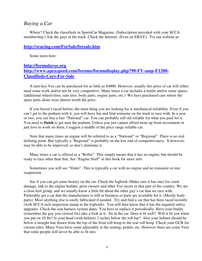#### *Buying a Car*

Where? Check the classifieds in SportsCar Magazine. (Subscription provided with your SCCA membership.) Ask the guys at the track. Check the Internet. (Even on EBAY). Try our website at:

#### **http://sracing.com/ForSale/forsale.htm**

Some more here:

### **http://formulavee.org http://www.apexspeed.com/forums/forumdisplay.php?98-FV-amp-F1200- Classifieds-Cars-For-Sale**

A turn-key Vee can be purchased for as little as \$4000. However, usually this price of car will either need some work and/or not be very competitive. Many times a car includes a trailer and/or some spares. (additional wheels/tires, rain tires, body parts, engine parts, etc.) We have purchased cars where the spare parts alone were almost worth the price.

If you haven't raced before, the main thing you are looking for is mechanical reliability. Even if you can't get to the podium with it, you will have fun and find someone on the track to race with. In a year or two, you can buy a fast "National" car. You can probably sell old reliable for what you paid for it. You need to **finish** to get near the podium. Unless you just cannot afford more up front investment or just love to work on them, I suggest a middle of the price range reliable car.

Note that many times an engine will be referred to as a "National" or "Regional". There is no real defining point. But typically a "Regional" is probably on the low end of competitiveness. It however, may be able to be improved, so don't eliminate it.

Many times a car is offered as a "Roller". This simply means that it has no engine, but should be ready to race other than that. See "Engine Stuff" in this book for more info.

Sometimes you will see "Slider". This is typically a car with no engine and no transaxle or rear suspension.

See if you can get some history on the car. Check the logbook (Make sure it has one) for crash damage, talk to the engine builder, prior owners and other Vee racers in that part of the country. We are a close knit group, and we usually know a little bit about the other guy's car that we race with. Preferably get a car that the manufacturer is still in business or parts are available for it. (Mostly body parts). Most anything else is easily fabricated if needed. Try and find a car that has been raced recently (with SCCA tech inspection stamp in the logbook). You will then know that it has the required safety upgrades. Check the seat harness system dates. You have to replace it periodically. Have your buddy (remember the guy you crewed for) take a look at it. Sit in the car. Does it fit well? Will it fit you when you put on 10 lbs? Is your head (with helmet) 2 inches below the roll bar? Also your helmet should be below a straight line drawn from the top of the front roll hoop to the rear roll hoop. Check your GCR for current rules. Many Vees have some adjustably in the seating, pedals, etc. However there are some Vees that some people will never be able to fit into.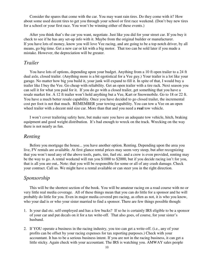Consider the spares that come with the car. You may want rain tires. Do they come with it? How about some used decent tires to get you through your school or first race weekend. (Don't buy new tires for a school or your first race. You won't be winning either of these events.)

After you think that's the car you want, negotiate. Just like you did for your street car. If you buy it check to see if he has any set-up info with it. Maybe from the original builder or manufacturer. If you have lots of money, know you will love Vee racing, and are going to be a top notch driver, by all means, go big time. Get a new car or kit with a big motor. That too can be sold later if you made a mistake. However, the depreciation will be greater.

### *Trailer*

You have lots of options, depending upon your budget. Anything from a 10 ft open trailer to a 24 ft dual axle, closed trailer. (Anything more is a bit egotistical for a Vee guy.) Your trailer is a lot like your garage. No matter how big you build it, your junk will expand to fill it. In spite of that, I would buy a trailer like I buy the Vee. Go cheap with reliability. Get an open trailer with a tire rack. Next season you can sell it for what you paid for it. If you do go with a closed trailer, get something that you have a resale market for. A 12 ft trailer won't hold anything but a Vee, Kart or Snowmobile. Go to 18 or 22 ft. You have a much better resale capability. Once you have decided to go closed trailer, the incremental cost per foot is not that much. REMEMBER your towing capability. You can tow a Vee on an open wheel trailer with a decent mid size car. More than that and you need a **real** tow vehicle.

I won't cover trailering safety here, but make sure you have an adequate tow vehicle, hitch, braking equipment and good weight distribution. It's bad enough to wreck on the track. Wrecking on the way there is not nearly as fun.

### *Renting*

Before you mortgage the house... you have another option. Renting. Depending upon the area you live, FV rentals are available. At first glance rental prices may seem very steep, but after recognizing that you won't need any of the above tools, parts, tire, fuel etc. and a crew is even provided, renting may be the way to go. A rental weekend will run you \$1000 to \$2000, but if you decide racing isn't for you, that is all you are out,. Note: that you will be responsible for some or all of any crash damage. Check your contract. Call us. We might have a rental available or can steer you in the right direction.

### *Sponsorship*

This will be the shortest section of the book. You will be amateur racing on a road course with no or very little real media coverage. All of these things mean that you can do little for a sponsor and he will probably do little for you. Even in major media covered pro racing, as often as not, it is who you know, who your dad is or who your sister married to find a sponsor. There are few things possible though:

- 1. Is your dad etc. self-employed and has a few bucks? If so he is certainly IRS eligible to be a sponsor of your car and put decals on it for a tax write-off. That also goes, of course, for your sister's husband.
- 2. If YOU operate a business in the racing industry, you too can get a write-off. (i.e., any of your profits can be offset by your racing expenses for tax reporting purposes.) Check with your accountant. It has to be a serious business intent. If you are not in the racing business, it can get a little sticky. Again check with your accountant. The IRS is watching you. AMWAY sales people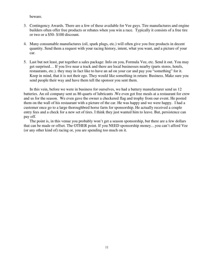beware.

- 3. Contingency Awards. There are a few of these available for Vee guys. Tire manufactures and engine builders often offer free products or rebates when you win a race. Typically it consists of a free tire or two or a \$50- \$100 discount.
- 4. Many consumable manufactures (oil, spark plugs, etc.) will often give you free products in decent quantity. Send them a request with your racing history, intent, what you want, and a picture of your car.
- 5. Last but not least, put together a sales package: Info on you, Formula Vee, etc. Send it out. You may get surprised… If you live near a track and there are local businesses nearby (parts stores, hotels, restaurants, etc.). they may in fact like to have an ad on your car and pay you "something" for it. Keep in mind, that it is not their ego. They would like something in return: Business. Make sure you send people their way and have them tell the sponsor you sent them.

In this vein, before we were in business for ourselves, we had a battery manufacturer send us 12 batteries. An oil company sent us 86 quarts of lubricants .We even got free meals at a restaurant for crew and us for the season. We even gave the owner a checkered flag and trophy from our event. He posted them on the wall of his restaurant with a picture of the car. He was happy and we were happy. I had a customer once go to a large thoroughbred horse farm for sponsorship. He actually received a couple entry fees and a check for a new set of tires. I think they just wanted him to leave. But, persistence can pay off.

The point is, in this venue you probably won't get a season sponsorship, but there are a few dollars that can be made or offset. The OTHER point. If you NEED sponsorship money…you can't afford Vee (or any other kind of) racing or, you are spending too much on it.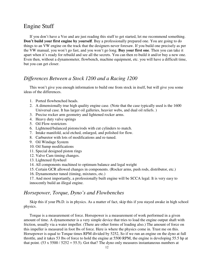### Engine Stuff

If you don't have a Vee and are just reading this stuff to get started, let me recommend something. **Don't build your first engine by yourself**. Buy a professionally prepared one. You are going to do things to an VW engine on the track that the designers never foresaw. If you build one precisely as per the VW manual, you won't go fast, and you won't go long. **Buy your first one**. Then you can take it apart when it's ready for rebuild and see all the secrets. You can then re-build it and/or buy a new one. Even then, without a dynamometer, flowbench, machine equipment, etc. you will have a difficult time, but you can get closer.

### *Differences Between a Stock 1200 and a Racing 1200*

This won't give you enough information to build one from stock in itself, but will give you some ideas of the differences.

- 1. Ported flowbenched heads.
- 2. A dimensionally true high quality engine case. (Note that the case typically used is the 1600 Universal case. It has larger oil galleries, heavier webs, and dual oil reliefs. )
- 3. Precise rocker arm geometry and lightened rocker arms.
- 4. Heavy duty valve springs
- 5. Oil Flow restrictors
- 6. Lightened/balanced pistons/rods with cut cylinders to match.
- 7. Intake manifold, acid etched, enlarged, and polished for flow.
- 8. Carburetor with lots of modifications and re-tuned.
- 9. Oil Windage System
- 10. Oil Sump modifications
- 11. Special designed piston rings
- 12. Valve Cam timing changes.
- 13. Lightened flywheel
- 14. All components machined to optimum balance and legal weight
- 15. Certain GCR allowed changes in components. (Rocker arms, push rods, distributor, etc.)
- 16. Dynamometer tuned (timing, mixtures, etc.)

17. And most importantly, a professionally built engine will be SCCA legal. It is very easy to innocently build an illegal engine.

#### *Horsepower, Torque, Dyno's and Flowbenches*

Skip this if your Ph.D. is in physics. As a matter of fact, skip this if you stayed awake in high school physics.

Torque is a measurement of force. Horsepower is a measurement of work performed in a given amount of time. A dynamometer is a very simple device that tries to load the engine output shaft with friction, usually via a water impeller. (There are other forms of loading also.) The amount of force on this impeller is measured in foot lbs of force. Here is where the physics come in. Trust me on this. Horsepower is equal to Torque times RPM divided by 5252, So if we run an engine on the dyno at full throttle, and it takes 53 lbs of force to hold the engine at 5500 RPM, the engine is developing 55.5 hp at that point. (53 x 5500 / 5252 = 55.5). Got that? The dyno only measures instantaneous numbers at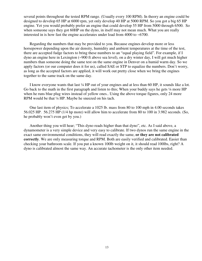several points throughout the tested RPM range. (Usually every 100 RPM). In theory an engine could be designed to develop 65 HP at 6000 rpm, yet only develop 40 HP at 5000 RPM. So you got a big 65 HP engine. Yet you would probably prefer an engine that could develop 55 HP from 5000 through 6500. So when someone says they got 60HP on the dyno, in itself may not mean much. What you are really interested in is how fast the engine accelerates under load from 4000 to ~6700.

Regarding the numbers that may be provided to you. Because engines develop more or less horsepower depending upon the air density, humidity and ambient temperatures at the time of the test, there are accepted fudge factors to bring these numbers to an "equal playing field". For example, if I dyno an engine here in Lexington (~900 ft above sea level), on a dry winter day, I will get much higher numbers than someone doing the same test on the same engine in Denver on a humid warm day. So we apply factors (or our computer does it for us), called SAE or STP to equalize the numbers. Don't worry, as long as the accepted factors are applied, it will work out pretty close when we bring the engines together to the same track on the same day.

I know everyone wants that last ¼ HP out of your engines and at less than 60 HP, it sounds like a lot. Go back to the math in the first paragraph and listen to this; When your buddy says he gets  $\frac{1}{4}$  more HP when he runs blue plug wires instead of yellow ones.. Using the above torque figures, only 24 more RPM would be that ¼ HP. Maybe he sneezed on his tach.

One last item of physics; To accelerate a 1025 lb. mass from 80 to 100 mph in 4.00 seconds takes 56.025 HP. 56.275 HP (1/4 hp more) will allow him to accelerate from 80 to 100 in 3.982 seconds. (So, he probably won't even get by you.)

Another thing you will hear; "This dyno reads higher than that dyno", etc. As I said above, a dynamometer is a very simple device and very easy to calibrate. If two dynos run the same engine in the exact same environmental conditions, they will read exactly the same, **or they are not calibrated correctly**. We are only measuring torque and RPM. Both are easily verified and calibrated. Easier than checking your bathroom scale. If you put a known 100lb weight on it, it should read 100lbs, right? A dyno is calibrated almost the same way. An accurate tachometer is the only other item needed.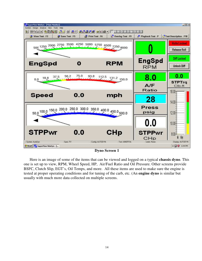

**Dyno Screen 1** 

Here is an image of some of the items that can be viewed and logged on a typical **chassis dyno**. This one is set up to view, RPM, Wheel Speed, HP, Air/Fuel Ratio and Oil Pressure. Other screens provide BSFC, Clutch Slip, EGT's, Oil Temps, and more. All these items are used to make sure the engine is tested at proper operating conditions and for tuning of the carb, etc. (An **engine dyno** is similar but usually with much more data collected on multiple screens.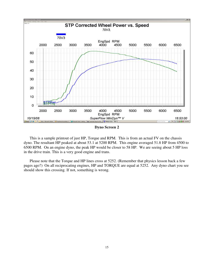

**Dyno Screen 2** 

This is a sample printout of just HP, Torque and RPM. This is from an actual FV on the chassis dyno. The resultant HP peaked at about 53.1 at 5200 RPM. This engine averaged 51.8 HP from 4500 to 6500 RPM. On an engine dyno, the peak HP would be closer to 58 HP. We are seeing about 5 HP loss in the drive train. This is a very good engine and trans.

Please note that the Torque and HP lines cross at 5252. (Remember that physics lesson back a few pages ago?) On all reciprocating engines, HP and TORQUE are equal at 5252. Any dyno chart you see should show this crossing. If not, something is wrong.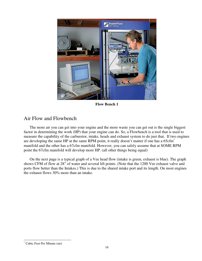

**Flow Bench 1** 

### Air Flow and Flowbench

The more air you can get into your engine and the more waste you can get out is the single biggest factor in determining the work (HP) that your engine can do. So, a Flowbench is a tool that is used to measure the capability of the carburetor, intake, heads and exhaust system to do just that. If two engines are developing the same HP at the same RPM point, it really doesn't matter if one has a 65cfm<sup>\*</sup> manifold and the other has a 67cfm manifold. However, you can safely assume that at SOME RPM point the 67cfm manifold will develop more HP. (all other things being equal)

On the next page is a typical graph of a Vee head flow (intake is green, exhaust is blue). The graph shows CFM of flow at 28" of water and several lift points. (Note that the 1200 Vee exhaust valve and ports flow better than the Intakes.) This is due to the shared intake port and its length. On most engines the exhaust flows 30% more than an intake.

<sup>-</sup>\* Cubic Feet Per Minute (air)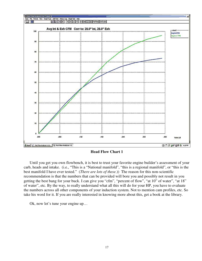

**Head Flow Chart 1** 

Until you get you own flowbench, it is best to trust your favorite engine builder's assessment of your carb, heads and intake. (i.e., "This is a "National manifold", "this is a regional manifold", or "this is the best manifold I have ever tested." (*There are lots of these.*)) The reason for this non-scientific recommendation is that the numbers that can be provided will bore you and possibly not result in you getting the best bang for your buck. I can give you "cfm", "percent of flow", "at 10" of water", "at 18" of water", etc. By the way, to really understand what all this will do for your HP, you have to evaluate the numbers across all other components of your induction system. Not to mention cam profiles, etc. So take his word for it. If you are really interested in knowing more about this, get a book at the library.

Ok, now let's tune your engine up…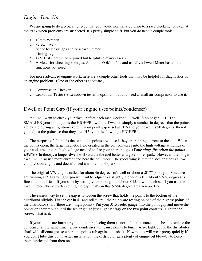### *Engine Tune Up*

We are going to do a typical tune-up that you would normally do prior to a race weekend, or even at the track when problems are suspected. It's pretty simple stuff, but you do need a couple tools.

- 1. 13mm Wrench
- 2. Screwdrivers
- 3. Set of feeler gauges and/or a dwell meter.
- 4. Timing Light
- 5. 12V Test Lamp (not required but helpful in many cases.)
- 6. A Meter for checking voltages. A simple VOM is fine and usually a Dwell Meter has all the functions you need.

For more advanced engine work, here are a couple other tools that may be helpful for diagnostics of an engine problem. (One or the other is adequate.)

- 1. Compression Checker
- 2. Leakdown Tester (A Leakdown tester is optimum but you need a small air compressor to use it.)

### Dwell or Point Gap (if your engine uses points/condenser)

You will want to check your dwell before each race weekend. Dwell IS point gap. I.E. The SMALLER your point gap is the HIGHER dwell is. Dwell is simply a number in degrees that the points are closed during an ignition cycle. If your point gap is set at .016 and your dwell is 50 degrees, then if you adjust the points so that they are .015, your dwell will go HIGHER.

The purpose of all this is that when the points are closed, they are running current to the coil. When the points open, the large magnetic field created in the coil collapses into the high voltage windings of your coil, creating the high voltage needed to fire your spark plugs**. (***Your plugs fire when the points OPEN*.) In theory, a longer dwell will saturate the coil better and give more spark. However, the longer dwell will also use more current and heat the coil more. The good thing is that the Vee engine is a low compression engine and doesn't need a whole lot of spark.

The original VW engine called for about 46 degrees of dwell or about a .017" point gap. Since we are running at 5000 to 7000 rpm we want to adjust to a slightly higher dwell. About 52-56 degrees is fine and not critical. If you start by setting your point gap to about .015, it will be close. If you use the dwell meter, check it after setting the gap. If it's in that 52-56 degree area you are fine.

The easiest way to set the gap is to loosen the screw that holds the points to the bottom of the distributor slightly. Put the car in  $4<sup>th</sup>$  and roll it until the points are resting on one of the highest points of the distributor shaft (there are 4 high points). Put your .015 feeler gauge into the point gap and move the points on their mount until the feeler gauge just slightly drags on the two point contacts. Tighten the screw. That is it.

If your points are burnt or you plan on replacing them as normal maintenance, it is best to replace the condenser at the same time. (a bad condenser will cause points to burn). Also, lightly lube the distributor shaft with silicone grease where the points rub against the shaft. New points will wear pretty quickly if you don't lube this point. After installation, the distributor gets plenty of engine oil blow-by to keep them lubricated from then on.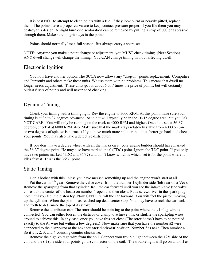It is best NOT to attempt to clean points with a file. If they look burnt or heavily pitted, replace them. The points have a proper curvature to keep contact pressure proper. If you file them you may destroy this design. A slight burn or discoloration can be removed by pulling a strip of 600 grit abrasive through them. Make sure no grit stays in the points.

Points should normally last a full season. But always carry a spare set.

NOTE: Anytime you make a point change or adjustment, you MUST check timing. (Next Section). ANY dwell change will change the timing. You CAN change timing without affecting dwell.

### Electronic Ignition

You now have another option. The SCCA now allows any "drop-in" points replacement. Compufire and Pertronix and others make these units. We use them with no problems. This means that dwell no longer needs adjustment. These units go for about 6 or 7 times the price of points, but will certainly outlast 6 sets of points and will never need checking.

### Dynamic Timing

Check your timing with a timing light. Rev the engine to 3000 RPM. At this point make sure your timing is at 36 to 37 degrees advanced. At idle it will typically be in the 10-15 degree area, but you DO NOT CARE. You will only be running on the track at 4000 RPM and higher. Once it is set at 36-37 degrees, check it at 6000 RPM also. Make sure that the mark stays relatively stable from 4000 on (one or two degrees of splatter is normal.) If you have much more splatter than that, better go back and check your points. You may also have a defective distributor.

If you don't have a degree wheel with all the marks on it, your engine builder should have marked the 36-37 degree point. He may also have marked the 0 (TDC) point. Ignore the TDC point. If you only have two points marked (TDC and 36/37) and don't know which is which, set it for the point where it idles fastest. This is the 36/37 point.

### Static Timing

Don't bother with this unless you have messed something up and the engine won't start at all.

Put the car in  $4<sup>th</sup>$  gear. Remove the valve cover from the number 1 cylinder side (left rear on a Vee). Remove the sparkplug from that cylinder. Roll the car forward until you see the intake valve (the valve closest to the center of the head) on number 1 open and then close. Put a screwdriver in the spark plug hole until you feel the piston top. Now GENTLY roll the car forward. You will feel the piston moving up the cylinder. When the piston has reached top dead center stop. You may have to rock the car back and forth to determine the top of its stroke.

Remove the distributor cap. The rotor should be pointing to the point where the #1 plug wire is connected. You can either loosen the distributor clamp to achieve this, or shuffle the sparkplug wires around to achieve this. In any case, once you have this set close (The rotor doesn't have to be pointed exactly to the #1 wire but within a few degrees.) Now make sure that you have the number #2 wire connected to the distributor at the next **counter clockwise** position. Number 3 is next. Then number 4. So it's 1, 2, 3, and 4 counting counter clockwise.

Remove the high voltage wire from the coil. Connect your trouble light between the 12V side of the coil and the (-) (the side your points go to) connector on the coil. The trouble light will go on and off as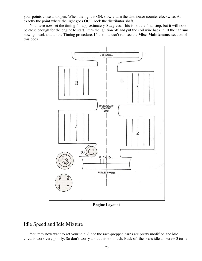your points close and open. When the light is ON, slowly turn the distributor counter clockwise. At exactly the point where the light goes OUT, lock the distributor shaft.

You have now set the timing for approximately 0 degrees. This is not the final step, but it will now be close enough for the engine to start. Turn the ignition off and put the coil wire back in. If the car runs now, go back and do the Timing procedure. If it still doesn't run see the **Misc. Maintenance** section of this book.



**Engine Layout 1** 

### Idle Speed and Idle Mixture

You may now want to set your idle. Since the race-prepped carbs are pretty modified, the idle circuits work very poorly. So don't worry about this too much. Back off the brass idle air screw 3 turns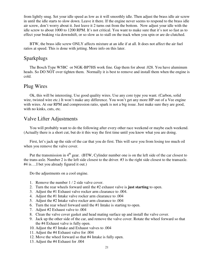from lightly snug. Set your idle speed as low as it will smoothly idle. Then adjust the brass idle air screw in until the idle starts to slow down. Leave it there. If the engine never seems to respond to the brass idle air screw, don't worry about it. Just leave it 2 turns out from the bottom. Now adjust your idle with the idle screw to about 1000 to 1200 RPM. It's not critical. You want to make sure that it's not so fast as to effect your braking via downshift, or so slow as to stall on the track when you spin or are de-clutched.

BTW, the brass idle screw ONLY affects mixture at an idle if at all. It does not affect the air fuel ratios at speed. This is done with jetting. More info on this later.

### Sparkplugs

The Bosch Type W5BC or NGK-BP7HS work fine. Gap them for about .028. You have aluminum heads. So DO NOT over tighten them. Normally it is best to remove and install them when the engine is cold.

#### Plug Wires

Ok, this will be interesting. Use good quality wires. Use any core type you want. (Carbon, solid wire, twisted wire etc.) It won't make any difference. You won't get any more HP out of a Vee engine with wires. At our RPM and compression ratio, spark is not a big issue. Just make sure they are good, with no kinks, cuts, etc.

### Valve Lifter Adjustments

You will probably want to do the following after every other race weekend or maybe each weekend. (Actually there is a short cut, but do it this way the first time until you know what you are doing.

First, let's jack up the side of the car that you do first. This will save you from losing too much oil when you remove the valve cover.

Put the transmission in  $4<sup>th</sup>$  gear. (BTW, Cylinder number one is on the left side of the car closest to the trans-axle. Number 2 is the left side closest to the driver. #3 is the right side closest to the transaxle. #4 is….I bet you already figured it out.)

Do the adjustments on a cool engine.

- 1. Remove the number 1 / 2 side valve cover.
- 2. Turn the rear wheels forward until the #2 exhaust valve is **just starting** to open.
- 3. Adjust the #1 Exhaust valve rocker arm clearance to .004.
- 4. Adjust the #1 Intake valve rocker arm clearance to .004
- 5. Adjust the #2 Intake valve rocker arm clearance to .004
- 6. Turn the rear wheel forward until the #1 Intake is starting to open.
- 7. Adjust #2 Exhaust valve to .004
- 8. Clean the valve cover gasket and head mating surface up and install the valve cover.
- 9. Jack up the other side of the car, and remove the valve cover. Rotate the wheel forward so that the #4 Exhaust valve is fully open.
- 10. Adjust the #3 Intake and Exhaust valves to .004
- 11. Adjust the #4 Exhaust valve for .004
- 12. Move the wheel forward so that #4 Intake is fully open.
- 13. Adjust the #4 Exhaust for .004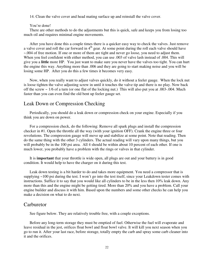14. Clean the valve cover and head mating surface up and reinstall the valve cover.

#### You're done!

There are other methods to do the adjustments but this is quick, safe and keeps you from losing too much oil and requires minimal engine movements.

After you have done this a couple times there is a quicker easy way to check the valves. Just remove a valve cover and roll the car forward in  $4<sup>th</sup>$  gear. At some point during the roll each valve should have ~.004 of free motion. If one or more of them are tight and never go loose, you need to adjust them. When you feel confident with either method, you can use .003 of valve lash instead of .004. This will give you a **little** more HP. You just want to make sure you never have the valves too tight. You can hurt the engine this way. Anything more than .006 and they are going to start making noise and you will be losing some HP. After you do this a few times it becomes very easy.

Now, when you really want to adjust valves quickly, do it without a feeler gauge. When the lock nut is loose tighten the valve adjusting screw in until it touches the valve tip and there is no play. Now back off the screw ~ 1/6 of a turn (or one flat of the locking nut.) This will also put you at .003-.004. Much faster than you can even find the old bent up feeler gauge set.

### Leak Down or Compression Checking

Periodically, you should do a leak down or compression check on your engine. Especially if you think you are down on power.

For a compression check, do the following: Remove all spark plugs and install the compression checker in #1. Open the throttle all the way (with your ignition OFF). Crank the engine three or four revolutions. The compression gauge will move up and stabilize at some point. Note that reading. Then do the same thing with the other 3 cylinders. The actual reading will vary upon many things, but you will probably be in the 100 psi area. All 4 should be within about 10 percent of each other. If one is much lower, you probably have a problem with the rings or valves in that cylinder.

It is **important** that your throttle is wide open, all plugs are out and your battery is in good condition. It would help to have the charger on it during this test.

Leak down testing is a bit harder to do and takes more equipment. You need a compressor that is supplying ~100 psi during the test. I won't go into the test itself, since your Leakdown tester comes with instructions. Suffice it to say that you would like all cylinders to be in the less then 10% leak down. Any more than this and the engine might be getting tired. More than 20% and you have a problem. Call your engine builder and discuss it with him. Based upon the numbers and some other checks he can help you make a decision on what to do next.

#### **Carburetor**

See figure below. They are relatively trouble free, with a couple exceptions.

Before any long-term storage they must be emptied of fuel. Otherwise the fuel will evaporate and leave residual in the jest, orifices float bowl and float bowl valve. It will kill you next season when you go to run it. After your last race, before storage, totally empty the carb and spray some carb cleaner into it and the orifices.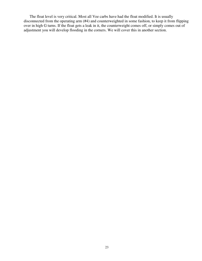The float level is very critical. Most all Vee carbs have had the float modified. It is usually disconnected from the operating arm (#4) and counterweighted in some fashion, to keep it from flipping over in high G turns. If the float gets a leak in it, the counterweight comes off, or simply comes out of adjustment you will develop flooding in the corners. We will cover this in another section.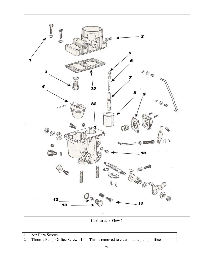

**Carburetor View 1** 

| Air Horn Screws                |                                                |
|--------------------------------|------------------------------------------------|
| Throttle Pump Orifice Screw #1 | This is removed to clear out the pump orifices |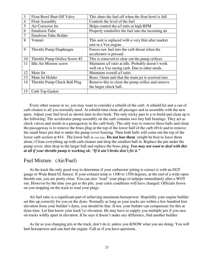| 3              | Float Bowl Shut-Off Valve      | This shuts the fuel off when the float bowl is full |
|----------------|--------------------------------|-----------------------------------------------------|
| $\overline{4}$ | <b>Float Assembly</b>          | Controls the level of the fuel                      |
| 5              | Air Corrector Jet              | Helps control the a/f ratio at high RPM             |
| 6              | <b>Emulsion Tube</b>           | Properly emulsifies the fuel into the incoming air  |
| $\overline{7}$ | <b>Emulsion Tube Holder</b>    |                                                     |
| 8              | Venturi                        | This unit is replaced with a very thin after market |
|                |                                | unit in a Vee engine.                               |
| 9              | Throttle Pump Diaphragm        | Forces raw fuel into the carb throat when the       |
|                |                                | accelerator is pressed.                             |
| 10             | Throttle Pump Orifice Screw #2 | This is removed to clear out the pump orifices      |
| 11             | <b>Idle Air Mixture screw</b>  | Maintains a/f ratio at idle. Probably doesn't work  |
|                |                                | well on a Vee racing carb. Due to other mods.       |
| 12             | Main Jet                       | Maintains overall a/f ratio.                        |
| 13             | Main Jet Holder                | Brass 14mm unit that the main jet is screwed into.  |
| 14             | Throttle Pump Check Ball Plug  | Remove this to clean the pump orifice and remove    |
|                |                                | the larger check ball.                              |
| 15             | Carb Top Gasket                |                                                     |

Every other season or so, you may want to consider a rebuild of the carb. A rebuild kit and a can of carb cleaner is all you normally need. At rebuild time clean all passages and re-assemble with the new parts. Adjust your fuel level as shown later in this book. The only tricky part to a re-build and clean up is the following: The accelerator pump assembly on the carb contains two tiny ball bearings. They act as check valves and reside in a passageway in the carb body. The only way to remove these balls and clean the passageway is to remove the brass plug at the top of the lower half of the carb (#14) and to remove the small brass pin that is under the pump cover housing. Then both balls will come out the top of the lower carb section at #14. The lower ball is very tiny. **Do not lose them**. (might be best to leave them alone.) Clean everything up with carb cleaner and drop the smallest ball in. Replace the pin under the pump cover, then drop in the larger ball and replace the brass plug. *You may not want to deal with this at all if your throttle pump is working ok. "If it ain't broke don't fix it."*

### Fuel Mixture (Air/Fuel)

At the track the only good way to determine if your carburetor jetting is correct is with an EGT gauge or Wide Band 02 Sensor. If your exhaust temp is 1300 to 1350 degrees, at the end of a wide-open throttle run, you are pretty close. You can also "read" your plugs or tailpipe immediately after a WOT run. However by the time you get to the pits, your color conditions will have changed. Officials frown on you stopping on the track to read your plugs.

Air fuel ratio is a significant part of achieving maximum horsepower. Hopefully your engine builder set this up correctly for you on the dyno. Normally as long as your tracks are within a few hundred feet elevation from your builder's dyno, you should be fine. If not, your builder can compensate for this at dyno time. Let him know your track'(s) elevation. He may have to supply you multiple jets if you race on tracks wildly apart in elevation. If he says it doesn't make any difference, find another builder.

As far as you changing jets at the track, don't do it, unless you KNOW what you are doing. You will hurt horsepower and can hurt the engine. Call us if you have questions.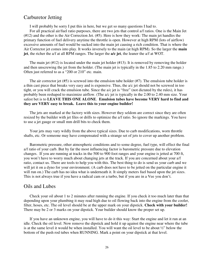### Carburetor Jetting

I will probably be sorry I put this in here, but we get so many questions I had to.

For all practical air/fuel ratio purposes, there are two jets that control a/f ratios. One is the Main Jet (#12) and the other is the Air Correction Jet. (#5). Here is how they work: The main jet handles the primary function of fuel delivery anytime the throttle is open. However at high RPM (lots of airflow) excessive amounts of fuel would be sucked into the main jet causing a rich condition. That is where the Air Corrector jet comes into play. It works inversely to the main (at high RPM). So the larger the **main jet**, the richer the a/f at all RPM ranges. The larger the **a/c jet**, the leaner the a/f at WOT.

The main jet  $(\#12)$  is located under the main jet holder  $(\#13)$ . It is removed by removing the holder and then unscrewing the jet from the holder. (The main jet is typically in the 1.85 to 2.20 mm range.) Often just referred to as a "200 or 210" etc. main.

The air corrector jet (#5) is screwed into the emulsion tube holder (#7). The emulsion tube holder is a thin cast piece that breaks very easy and is expensive. Thus, the a/c jet should not be screwed in too tight, or you will crack the emulsion tube. Since the a/c jet is "free" (not dictated by the rules), it has probably been reshaped to maximize airflow. (The a/c jet is typically in the 2.00 to 2.40 mm size. Your safest bet is to **LEAVE THIS ONE ALONE**. **Emulsion tubes have become VERY hard to find and they are VERY easy to break. Leave this to your engine builder!**

The jets are marked at the factory with sizes. However they seldom are correct since they are often resized by the builder with jet files or drills to optimize the a/f ratio. So ignore the markings. You have to use a jet gauge or small mm drill bits to check them.

Your jets may vary wildly from the above typical sizes. Due to carb modifications, worn throttle shafts, etc. Or someone may have compensated with a strange set of jets to cover up another problem.

Barometric pressure, other atmospheric conditions and to some degree, fuel type, will effect the final a/f ratio of your carb. But by far the most influencing factor is barometric pressure due to elevation changes. If you are running at tracks in the 500 to 900 foot ranges and your engine is jetted at 700 ft, you won't have to worry much about changing jets at the track. If you are concerned about your a/f ratio, contact us. There are tools to help you with this. The best thing to do is send us your carb and we will jet it on a dyno for your environment. (A carb does not have to be jetted on the particular engine it will run on.) The carb has no idea what is underneath it. It simply meters fuel based upon the jet sizes. This is not always true if you have a radical cam or a turbo, but if you are in a Vee you don't.

#### Oils and Lubes

Check your oil about 1 to 2 minutes after running the engine. If you check it too much later than that depending upon your plumbing it may read high due to oil flowing back into the engine from the cooler, filter, hoses, etc. The oil level should be at the upper mark on your dipstick. **Check with your builder!**  There may be 2 or 3 marks on your dipstick. Your builder should know the proper set up.

If you have an unknown engine, you will have to do it this way: Start the engine and let it run at an idle. Check the oil level. Now remove the dipstick and hold it up against the engine near where the tube is at the same level it would be when installed. You will want the oil level to be about ½" below the bottom of the push rod tubes when RUNNING. Mark a point on your dipstick at that level.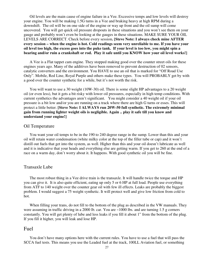Oil levels are the main cause of engine failure in a Vee. Excessive temps and low levels will destroy your engine. You will be making 1.5G turns in a Vee and braking heavy at high RPM during a downshift. The oil will be on one side of the engine or way up front and the oil sump will come uncovered. You will get quick oil pressure dropouts in these situations and you won't see them on your gauge and probably won't even be looking at the gauges in these situations. MAKE SURE YOUR OIL LEVELS ARE CORRECT. Check before every session**. [Steve Note: I always check mine AFTER every session – when the engine is hot. Cold readings seem very unreliable to me. If you have your oil level too high, the excess goes into the puke tank. If your level is too low, you might spin a bearing and/or ruin a crankshaft or rod. Play it safe until you KNOW how your oil level works!]** 

A Vee is a Flat tappet cam engine. They stopped making good over the counter street oils for these engines years ago. Many of the additives have been removed to prevent destruction of 02 sensors, catalytic converters and the environment. You HAVE to use an oil that is marked for "Off Road Use Only". Mobile, Red Line, Royal Purple and others make these types. You will PROBABLY get by with a good over the counter synthetic for a while, but it's not worth the risk.

You will want to use a 30 weight (10W-30) oil. There is some slight HP advantages to a 20 weight oil (or even less), but it gets a bit risky with lower oil pressures, especially in high temp conditions. With current synthetics the advantages aren't significant. You might consider a 40 weight oil if your oil pressure is a bit low and/or you are running on a track where there are high G turns or esses. This will protect a little better. **[Steve Note: I ALWAYS run 20W-50 full synthetic. The extremely minimal gain from running lighter weight oils is negligible. Again .. play it safe till you know and understand your engine!]**

#### Oil Temperature

You want your oil temps to be in the 190 to 240 degree range in the sump. Lower than this and your oil will retain water condensation (white milky color at the top of the filler tube or cap) and it won't distill out fuels that get into the system, as well. Higher than this and your oil doesn't lubricate as well and it is indicative that your heads and everything else are getting warm. If you get to 260 at the end of a race on a warm day, don't worry about it. It happens. With good synthetic oil you will be fine.

#### Transaxle Lube

The most robust thing in a Vee drive train is the transaxle. It will handle twice the torque and HP you can give it. It is also quite efficient, eating up only 5 or 6 HP at full load. People use everything from ATF to 140 weight over the counter gear oil with few ill effects. Leaks are probably the biggest problem. I would suggest a 75 weight synthetic. It will protect well and give low friction from cold to hot.

When filling your trans, do not fill to the bottom of the plug as described in the VW manuals. They were assuming in traffic driving in a 2000 lb. car. You are ~1000 lbs. and are turning 1.5 g corners constantly. You will get plenty of lube and less leaks if you fill it about 1" from the bottom of the plug. If you fill it higher, you will leak and lose HP.

#### Fuel

You don't have many options here with the current rules. You have to use a fuel that will pass the SCCA fuel tests. This means you use the Leaded fuel at the track, 100LL Aviation fuel, or something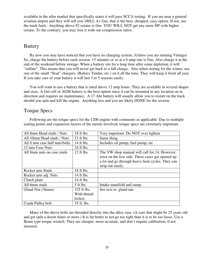available in the after market that specifically states it will pass SCCA testing. If you are near a general aviation airport and they will sell you 100LL Av Gas, that is the best, cheapest, easy option. If not, use the track fuels. Anything above 92 octane is fine. YOU WILL NOT get any more HP with higher octane. To the contrary, you may lose it with our compression ratios.

### Battery

By now you may have noticed that you have no charging system. (Unless you are running Vintage) So, charge the battery before each session. 15 minutes or so at a 6 amp rate is fine. Also charge it at the end of the weekend before storage. When a battery sits for a long time after some depletion, it will "sulfate". This means that you will never get back to a full charge. Also when storing for the winter, use one of the small "float" chargers. (Battery Tender, etc.) on it all the time. They will keep it fresh all year. If you take care of your battery it will last 3 to 5 seasons easily.

You will want to use a battery that is rated above 12 amp hours. They are available in several shapes and sizes. A Gel cell or AGM battery is the best option since it can be mounted in any location on in direction and requires no maintenance. A 17 Ahr battery will usually allow you to restart on the track should you spin and kill the engine. Anything less and you are likely DONE for the session.

### Torque Specs

| All 8mm Head studs / Nuts     | 18 ft lbs.   | Very important. Do NOT over tighten                                                                                                                                        |
|-------------------------------|--------------|----------------------------------------------------------------------------------------------------------------------------------------------------------------------------|
| All 10mm Head studs / Nuts    | $21$ ft lbs. | Same thing                                                                                                                                                                 |
| All 8 mm case half nuts/bolts | 14 ft lbs.   | Includes oil pump, fuel pump, etc                                                                                                                                          |
| 12 mm Case Nuts               | 24 ft lbs.   |                                                                                                                                                                            |
| All 8mm nuts on case studs    | $12$ ft lbs. | The VW shop manual will call for 14. However,<br>error on the low side. These cases get opened up<br>a lot and go through heavy heat cycles. They can<br>strip out easily. |
| Rocker arm Studs              | 18 ft lbs.   |                                                                                                                                                                            |
| Rocker arm adj. Nuts          | 14 ft lbs.   |                                                                                                                                                                            |
| Clutch plate                  | 24 ft lbs.   |                                                                                                                                                                            |
| All 6mm studs                 | $5$ ft lbs.  | Intake manifold and sump                                                                                                                                                   |
| Gland Nut (36mm)              | 325 ft lbs.  | See text re: gland nut.                                                                                                                                                    |
|                               | With thread  |                                                                                                                                                                            |
|                               | locker.      |                                                                                                                                                                            |
| Crank Pulley bolt             | 35 ft. lbs.  |                                                                                                                                                                            |

Following are the torque specs for the 1200 engine with comments as applicable. Due to multiple sealing points and expansion factors of the metals involved, torque specs are extremely important.

Many of the above bolts are threaded directly into the alloy case. (A case that might be 25 years old and get split a dozen times or more.) It is far better to not go too tight than it is to be too loose. Use a Beam type torque wrench. They are cheaper, more accurate, and don't require calibration, if not misused.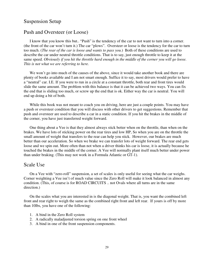### Suspension Setup

#### Push and Oversteer (or Loose)

I know that you know this but.. "Push" is the tendency of the car to not want to turn into a corner. (the front of the car won't turn it.) The car "plows". Oversteer or loose is the tendency for the car to turn too much. (*The rear of the car is loose and wants to pass you*.) Both of these conditions are used to describe the car under neutral throttle conditions. That is to say, just enough throttle to keep it at the same speed. *Obviously if you hit the throttle hard enough in the middle of the corner you will go loose. This is not what we are referring to here.* 

We won't go into much of the causes of the above, since it would take another book and there are plenty of books available and I am not smart enough. Suffice it to say, most drivers would prefer to have a "neutral" car. I.E. If you were to run in a circle at a constant throttle, both rear and front tires would slide the same amount. The problem with this balance is that it can be achieved two ways. You can fix the end that is sliding too much, or screw up the end that is ok. Either way the car is neutral. You will end up doing a bit of both.

While this book was not meant to coach you on driving, here are just a couple points. You may have a push or oversteer condition that you will discuss with other drivers to get suggestions. Remember that push and oversteer are used to describe a car in a static condition. If you hit the brakes in the middle of the corner, you have just transferred weight forward.

One thing about a Vee is that they almost always stick better when on the throttle, than when on the brakes. We have lots of sticking power on the rear tires and low HP, So when you are on the throttle the small amount of weight that transfers to the rear can help you stick. However, our brakes are much better than our acceleration. So when we brake we can transfer lots of weight forward. The rear end gets loose and we spin out. More often than not when a driver thinks his car is loose, it is actually because he touched the brakes in the middle of the corner. A Vee will normally plant itself much better under power than under braking. (This may not work in a Formula Atlantic or GT-1).

#### Scale Use

On a Vee with "zero-roll" suspension, a set of scales is only useful for seeing what the car weighs. Corner weighting a Vee isn't of much value since the Zero Roll will make it look balanced in almost any condition. (This, of course is for ROAD CIRCUITS .. not Ovals where all turns are in the same direction.)

On the scales what you are interested in is the diagonal weight. That is, you want the combined left front and rear right to weigh the same as the combined right front and left rear. If yours is off by more than 10lbs, you have one of the following:

- 1. A bind in the Zero Roll system
- 2. A radically maladjusted torsion spring on one front wheel
- 3. A bind in one of the front suspension components.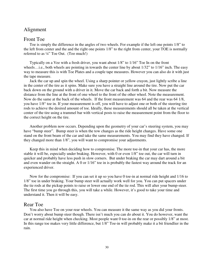### Alignment

#### Front Toe

Toe is simply the difference in the angles of two wheels. For example if the left one points 1/8" to the left from center and the and the right one points 1/8" to the right from center, your TOE is normally referred to as ¼" Toe Out. (Too much!)

Typically on a Vee with a fresh driver, you want about 1/8" to 1/16" Toe In on the front wheels......e., both wheels are pointing in towards the center line by about  $1/32$ " to  $1/16$ " inch. The easy way to measure this is with Toe Plates and a couple tape measures. However you can also do it with just the tape measure.

Jack the car up and spin the wheel. Using a sharp pointer or yellow crayon, just lightly scribe a line in the center of the tire as it spins. Make sure you have a straight line around the tire. Now put the car back down on the ground with a driver in it. Move the car back and forth a bit. Now measure the distance from the line at the front of one wheel to the front of the other wheel. Note the measurement. Now do the same at the back of the wheels. If the front measurement was 64 and the rear was 64 1/8, you have 1/8" toe in. If your measurement is off, you will have to adjust one or both of the steering tire rods to achieve the desired amount of toe. Ideally, these measurements should all be taken at the vertical center of the tire using a trammel bar with vertical posts to raise the measurement point from the floor to the correct height on the tire.

Another problem now occurs. Depending upon the geometry of your car's steering system, you may have "bump steer". Bump steer is when the tow changes as the ride height changes. Have some one stand on the front beam of the car and take the same measurements. You may find they have changed. If they changed more than 1/8", you will want to compromise your adjustments.

Keep this in mind when deciding how to compromise. The more toe-in that your car has, the more stable it will be, especially under braking. However, with 0 or even 1/8" toe out, the car will turn in quicker and probably have less push in slow corners. But under braking the car may dart around a bit and even wander on the straight. A 0 or 1/16" toe in is probably the fastest way around the track for an experienced driver.

Now for the compromise: If you can set it up so you have 0 toe-in at normal ride height and 1/16 to 1/8" toe in under braking. Your bump steer will actually work well for you. You can put spacers under the tie rods at the pickup points to raise or lower one end of the tie rod. This will alter your bump-steer. The first time you go through this, you will take a while. However, it's good to take your time and understand it. Then it will be easy.

#### Rear Toe

You also have Toe on your rear wheels. You can measure it the same way as you did your fronts. Don't worry about bump steer though. There isn't much you can do about it. You do however, want the car at normal ride height when checking. Most people want 0 toe-in on the rear or possibly 1/8" at most. In this range toe makes very little difference, but 1/8" Toe-in will probably make it a bit friendlier in the rain.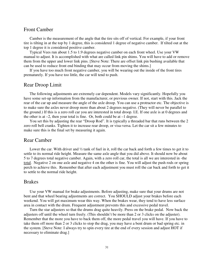#### Front Camber

Camber is the measurement of the angle that the tire sits off of vertical. For example, if your front tire is tilting in at the top by 1 degree, this is considered 1 degree of negative camber. If tilted out at the top 1 degree it is considered positive camber.

Typical Vees run about 1.5 to 1.9 degrees negative camber on each front wheel. Use your VW manual to adjust. It is accomplished with what are called link pin shims. You will have to add or remove them from the upper and lower link pins. [Steve Note: There are offset link pin bushing available that can be used to reduce front end binding that may occur from moving the shims.]

If you have too much front negative camber, you will be wearing out the inside of the front tires prematurely. If you have too little, the car will tend to push.

#### Rear Droop Limit

The following adjustments are extremely car dependent. Models vary significantly. Hopefully you have some set-up information from the manufacturer, or previous owner. If not, start with this. Jack the rear of the car up and measure the angle of the axle droop. You can use a protractor etc. The objective is to make sure the axles never droop more than about 2 degrees negative. (They will never be parallel to the ground.) If this is a zero roll car you are interested in total droop. I.E. If one axle is at 0 degrees and the other is at  $-2$ , then your total is fine. Or, both could be at  $-1$  degree.

You set this by adjusting the rear "Droop Rod". It is typically a threaded bar that runs between the 2 zero roll bell cranks. Tighten it to increase rear droop, or visa-versa. Let the car sit a few minutes to make sure this is the final set by measuring it again.

#### Rear Camber

Lower the car. With driver and  $\frac{1}{2}$  tank of fuel in it, roll the car back and forth a few times to get it to settle to its normal ride height. Measure the same axle angle that you did above. It should now be about 5 to 7 degrees total negative camber. Again, with a zero roll car, the total is all we are interested in -the total. Negative 2 on one axle and negative 4 on the other is fine. You will adjust the push rods or spring perch to achieve this. Remember that after each adjustment you must roll the car back and forth to get it to settle to the normal ride height.

#### Brakes

Use your VW manual for brake adjustments. Before adjusting, make sure that your drums are not bent and that wheel bearing adjustments are correct. You SHOULD adjust your brakes before each weekend. You will get maximum wear this way. When the brakes wear, they tend to have less surface area in contact with the drum. Frequent adjustment prevents this and excessive pedal travel.

Turn the star adjusters so that the drums drag quite heavily. Press on the brake pedal. Now back the adjusters off until the wheel turn freely. (This shouldn't be more than 2 or 3 clicks on the adjuster). Remember that the more you have to back them off, the more pedal travel you will have. If you have to take them off more than 2 or 3 clicks to stop the drag, you may have a bent drum or bad spring etc. in the system. [Steve Note: I always try to spin every tire at the end of every session and adjust HOT if necessary to eliminate drag.]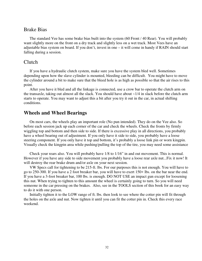#### Brake Bias

The standard Vee has some brake bias built into the system (60 Front / 40 Rear). You will probably want slightly more on the front on a dry track and slightly less on a wet track. Most Vees have an adjustable bias system on board. If you don't, invest in one – it will come in handy if RAIN should start falling during a session.

#### Clutch

If you have a hydraulic clutch system, make sure you have the system bled well. Sometimes depending upon how the slave cylinder is mounted, bleeding can be difficult. You might have to move the cylinder around a bit to make sure that the bleed hole is as high as possible so that the air rises to this point.

After you have it bled and all the linkage is connected, use a crow bar to operate the clutch arm on the transaxle, taking out almost all the slack. You should have about  $\sim 1/4$  in slack before the clutch arm starts to operate. You may want to adjust this a bit after you try it out in the car, in actual shifting conditions.

### **Wheels and Wheel Bearings**

On most cars, the wheels play an important role (No pun intended). They do on the Vee also. So before each session jack up each corner of the car and check the wheels. Check the fronts by firmly wiggling top and bottom and then side to side. If there is excessive play in all directions, you probably have a wheel bearing out of adjustment. If you only have it side to side, you probably have a loose steering component. If you only have it top and bottom, it's probably a loose link pin or worn kingpin. Visually check the kingpin area while pushing/pulling the top of the tire, you may need some assistance

Check your rears also. You will probably have 1/8 to 1/16" in and out movement. This is normal. However if you have any side to side movement you probably have a loose rear axle nut...Fix it now! It will destroy the rear brake drum and/or axle on your next session.

VW Specs call for tightening to be 215-ft. lbs. For our purposes this is not enough. You will have to go to 250-300. If you have a 2 foot breaker bar, you will have to exert 150+ lbs. on the bar near the end. If you have a 3-foot breaker bar, 100 lbs. is enough. DO NOT USE an impact gun except for loosening this nut. When trying to tighten to this amount the wheel is certainly going to turn. So you will need someone in the car pressing on the brakes. Also, see in the TOOLS section of this book for an easy way to do it with one person.

Initially tighten it to the LOW range of ft. lbs. then look to see where the cotter pin will fit through the holes on the axle and nut. Now tighten it until you can fit the cotter pin in. Check this every race weekend.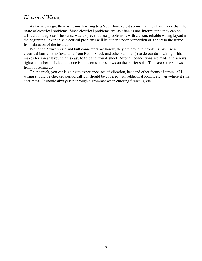### *Electrical Wiring*

As far as cars go, there isn't much wiring to a Vee. However, it seems that they have more than their share of electrical problems. Since electrical problems are, as often as not, intermittent, they can be difficult to diagnose. The surest way to prevent these problems is with a clean, reliable wiring layout in the beginning. Invariably, electrical problems will be either a poor connection or a short to the frame from abrasion of the insulation.

While the 3 wire splice and butt connectors are handy, they are prone to problems. We use an electrical barrier strip (available from Radio Shack and other suppliers)) to do our dash wiring. This makes for a neat layout that is easy to test and troubleshoot. After all connections are made and screws tightened, a bead of clear silicone is laid across the screws on the barrier strip. This keeps the screws from loosening up.

On the track, you car is going to experience lots of vibration, heat and other forms of stress. ALL wiring should be checked periodically. It should be covered with additional looms, etc., anywhere it runs near metal. It should always run through a grommet when entering firewalls, etc.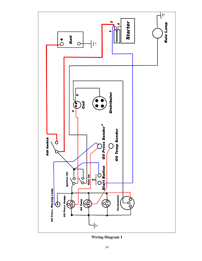

**Wiring Diagram 1**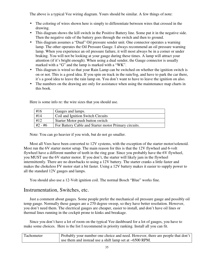The above is a typical Vee wiring diagram. Yours should be similar. A few things of note:

- The coloring of wires shown here is simply to differentiate between wires that crossed in the drawing.
- This diagram shows the kill switch in the Positive Battery line. Some put it in the negative side. Then the negative side of the battery goes through the switch and then to ground.
- This diagram assumes a "Dual" Oil pressure sender unit. One connector operates a warning lamp. The other operates the Oil Pressure Gauge. I always recommend an oil pressure warning lamp. When you experience an oil pressure failure, it will most always be in a corner or under braking. You will not be looking at your gauge during these times. A lamp will attract your attention (if it's bright enough). When using a dual sender, the Gauge connector is usually marked with a "G" and the lamp is marked with a "WK".
- This diagram is wired so that your Rain Lamp can be switched on whether the ignition switch is on or not. This is a good idea. If you spin on track in the rain/fog, and have to park the car there, it's a good idea to leave the rain lamp on. You don't want to have to leave the ignition on also.
- The numbers on the drawing are only for assistance when using the maintenance map charts in this book.

| #16       | Gauges and lamps.                                     |
|-----------|-------------------------------------------------------|
| #14       | Coil and Ignition Switch Circuits                     |
| #12       | Starter Motor push button switch                      |
| $#2 - #6$ | For Battery Cable and Starter motor Primary circuits. |

Here is some info re: the wire sizes that you should use.

Note: You can go heavier if you wish, but do not go smaller.

Most all Vees have been converted to 12V systems, with the exception of the starter motor/solenoid. Most run the 6V starter motor setup. The main reason for this is that the 12V flywheel and 6-volt flywheel have a different number of teeth in the ring gear. Since you probably have the 6V flywheel, you MUST use the 6V starter motor. If you don't, the starter will likely jam in the flywheel intermittently. There are no drawbacks to using a 12V battery. The starter cranks a little faster and makes the chokeless FV motor start a bit faster. Using a 12V battery makes it easier to supply power to all the standard 12V gauges and lamps.

You should also use a 12-Volt ignition coil. The normal Bosch "Blue" works fine.

### Instrumentation, Switches, etc.

Just a comment about gauges. Some people prefer the mechanical oil pressure gauge and possibly oil temp gauge. Normally these gauges are a 270 degree sweep, so they have better resolution. However, you don't need them. The electrical gauges are cheaper, easier to install, and don't have oil lines or thermal lines running in the cockpit prone to kinks and breakage.

Since you don't have a lot of room on the typical Vee dashboard for a lot of gauges, you have to make some choices. Here is the list I recommend in priority ranking. Install all you can fit.

| Tachometer | Probably your number one choice and need. However, there are people that don't |
|------------|--------------------------------------------------------------------------------|
|            | use them and instead use a shift lamp set at $\sim 6500$ RPM.                  |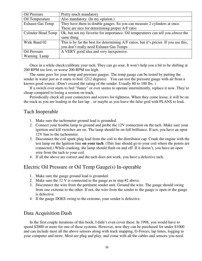| Oil Pressure              | Pretty much mandatory                                                                   |
|---------------------------|-----------------------------------------------------------------------------------------|
| Oil Temperature           | Also mandatory. (In my opinion.)                                                        |
| <b>Exhaust Gas Temp</b>   | They have them in double gauges. So you can measure 2 cylinders at once.                |
|                           | These are nice for determining proper A/F ratio                                         |
| <b>Cylinder Head Temp</b> | Ok, but not my favorite for importance. Oil temperatures can tell you <i>almost</i> the |
|                           | same thing.                                                                             |
| Wide Band 02              | This is by far the best for determining A/F ratios, but it's pricier. If you use this,  |
|                           | you don't really need Exhaust Gas Temps                                                 |
| Oil Pressure              | A VERY good idea and very inexpensive.                                                  |
| Warning Lamp              |                                                                                         |

Once in a while check/calibrate your tach. They can go sour. It won't help you a bit to be shifting at 200 RPM too low, or worse 200 RPM too high.

The same goes for your temp and pressure gauges. The temp gauge can be tested by putting the sender in water just as it starts to boil. (212 degrees). You can test the pressure gauge with air from a known good source. (Don't exceed the rating of the sender. Usually 80 to 100 lbs. )

If a switch ever starts to feel "funny" or ever seems to operate intermittently, replace it now. They're cheap compared to losing a session on track.

Periodically check all your connectors and screws for tightness. When they come loose, it will be on the track as you are leading in the last lap .. or maybe as you leave the false grid with PLANS to lead.

### Tach Inoperable

- 1. Make sure the tachometer ground lead is grounded.
- 2. Connect your trouble lamp to ground and probe the 12V connection on the tach. Make sure your ignition and kill switches are on. The lamp should be on full brilliance. If not, you have an open 12V line to the tachometer.
- 3. Disconnect the coil spark plug lead from the coil to the distributor cap. Crank the engine with the test lamp on the Ignition line **on your tach**. (This line should go to your coil where the points are connected.) While cranking, the lamp should flash on and off. If it doesn't, you have an open wire from the tach to your coil.
- 4. If all the above are correct and the tach does not work, you have a defective tach.

### Electric Oil Pressure or Oil Temp Gauge(s) In-operable

- 1. Make sure the gauge ground lead is grounded.
- 2. Make sure the 12 V is connected to the gauge as in step #2 above.
- 3. Disconnect the wire from the pertinent sender unit. Ground the wire. The gauge should swing from one extreme to the other. If not, the wire from the sender to the gauge is open or the gauge is defective.
- 4. If the gauge DOES swing to the extreme, your sender is defective.

### Data Acquisition Dash

In the first couple iterations of this book, I didn't even cover these. In 1998, you would have to spend \$2000 or more for one of these systems. However, now they can be purchased for under \$1000 and can include most all the above sensors along with track mapping, G-Forces, lap times, logging to your computer and more. Most are plug and play, and come with all the cables and sensors you need.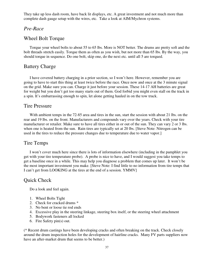They take up less dash room, have back lit displays, etc. A great investment and not much more than complete dash gauge setup with the wires, etc. Take a look at AIM/Mychron systems.

### *Pre-Race*

### Wheel Bolt Torque

Torque your wheel bolts to about 55 to 65 lbs. More is NOT better. The drums are pretty soft and the bolt threads stretch easily. Torque them as often as you wish, but not more than 65 lbs. By the way, you should torque in sequence. Do one bolt, skip one, do the next etc. until all 5 are torqued.

### Battery Charge

I have covered battery charging in a prior section, so I won't here. However, remember you are going to have to start this thing at least twice before the race. Once now and once at the 3 minute signal on the grid. Make sure you can. Charge it just before your session. These 14-17 AH batteries are great for weight but you don't get too many starts out of them. God forbid you might even stall on the track in a spin. It's embarrassing enough to spin, let alone getting hauled in on the tow truck.

### Tire Pressure

With ambient temps in the 72-85 area and tires in the sun, start the session with about 21 lbs. on the rear and 19 lbs. on the front. Manufacturers and compounds vary over the years. Check with your tire manufacturer or retailer. Make sure to have all tires either in or out of the sun. They can vary 2 or 3 lbs. when one is heated from the sun. Rain tires are typically set at 20 lbs. [Steve Note: Nitrogen can be used in the tires to reduce the pressure changes due to temperature due to water vapor.]

### Tire Temps

I won't cover much here since there is lots of information elsewhere (including in the pamphlet you get with your tire temperature probe). A probe is nice to have, and I would suggest you take temps to get a baseline once in a while. This may help you diagnose a problem that comes up later. It won't be the most important investment you make. [Steve Note: I find little to no information from tire temps that I can't get from LOOKING at the tires at the end of a session. YMMV]

### Quick Check

Do a look and feel again.

- 1. Wheel Bolts Tight
- 2. Check for cracked drums \*
- 3. No bent or loose tie rod ends
- 4. Excessive play in the steering linkage, steering box itself, or the steering wheel attachment
- 5. Bodywork fasteners all locked
- 6. Fire Safety pin(s) out.

(\* Recent drum castings have been developing cracks and often breaking on the track. Check closely around the drum inspection holes for the development of hairline cracks. Many FV parts suppliers now have an after-market drum that seems to be better.)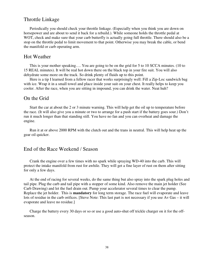### Throttle Linkage

Periodically you should check your throttle linkage. (Especially when you think you are down on horsepower and are about to send it back for a rebuild.). While someone holds the throttle pedal at WOT, check and make sure that your carb butterfly is actually going full throttle. There should also be a stop on the throttle pedal to limit movement to that point. Otherwise you may break the cable, or bend the manifold or carb operating arm.

#### Hot Weather

This is your mother speaking…. You are going to be on the grid for 5 to 10 SCCA minutes. (10 to 15 REAL minutes). It will be real hot down there on the black top in your fire suit. You will also dehydrate some more on the track. So drink plenty of fluids up to this point.

Here is a tip I learned from a fellow racer that works surprisingly well: Fill a Zip-Loc sandwich bag with ice. Wrap it in a small towel and place inside your suit on your chest. It really helps to keep you cooler. After the race, when you are sitting in impound, you can drink the water. Neat huh?

#### On the Grid

Start the car at about the 2 or 3 minute warning. This will help get the oil up to temperature before the race. (It will also give you a minute or two to arrange for a push start if the battery goes sour.) Don't run it much longer than that standing still. You have no fan and you can overheat and damage the engine.

Run it at or above 2000 RPM with the clutch out and the trans in neutral. This will help heat up the gear oil quicker.

### End of the Race Weekend / Season

Crank the engine over a few times with no spark while spraying WD-40 into the carb. This will protect the intake manifold from rust for awhile. They will get a fine layer of rust on them after sitting for only a few days.

At the end of racing for several weeks, do the same thing but also spray into the spark plug holes and tail pipe. Plug the carb and tail pipe with a stopper of some kind. Also remove the main jet holder (See Carb Drawing) and let the fuel drain out. Pump your accelerator several times to clear the pump. Replace the jet holder. This is **mandatory** for long term storage. The race fuel will evaporate and leave lots of residue in the carb orifices. [Steve Note: This last part is not necessary if you use Av Gas – it will evaporate and leave no residue.]

Charge the battery every 30 days or so or use a good auto-shut off trickle charger on it for the offseason.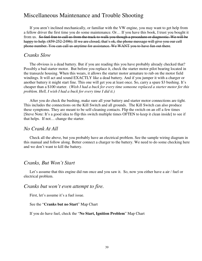### Miscellaneous Maintenance and Trouble Shooting

If you aren't inclined mechanically, or familiar with the VW engine, you may want to get help from a fellow driver the first time you do some maintenance. Or… If you have this book, I trust you bought it from us. So feel free to call us from the track to walk you though a procedure or diagnostic. We will be happy to help. (859-252-2496). If we are closed, that's ok, the phone message will give you our cell phone number. You can call us anytime for assistance. We WANT you to have fun out there.

#### *Cranks Slow*

The obvious is a dead battery. But if you are reading this you have probably already checked that? Possibly a bad starter motor. But before you replace it, check the starter motor pilot bearing located in the transaxle housing. When this wears, it allows the starter motor armature to rub on the motor field windings. It will act and sound EXACTLY like a dead battery. And if you jumper it with a charger or another battery it might start fine. This one will get you at least once. So, carry a spare \$3 bushing. It's cheaper than a \$100 starter. (*Wish I had a buck for every time someone replaced a starter motor for this problem. Hell, I wish I had a buck for every time I did it.)* 

After you do check the bushing, make sure all your battery and starter motor connections are tight. This includes the connections on the Kill Switch and all grounds. The Kill Switch can also produce these symptoms. They are meant to be self-cleaning contacts. Flip the switch on an off a few times [Steve Note: It's a good idea to flip this switch multiple times OFTEN to keep it clean inside] to see if that helps. If not… change the starter.

#### *No Crank At All*

Check all the above, but you probably have an electrical problem. See the sample wiring diagram in this manual and follow along. Better connect a charger to the battery. We need to do some checking here and we don't want to kill the battery.

### *Cranks, But Won't Start*

Let's assume that this engine did run once and you saw it. So, now you either have a air / fuel or electrical problem.

### *Cranks but won't even attempt to fire.*

First, let's assume it's a fuel issue.

#### See the "**Cranks but no Start**" Map Chart

If you do have fuel, check the "**No Start, Ignition Problem**" Map Chart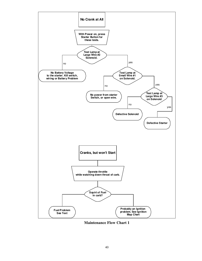

**Maintenance Flow Chart 1**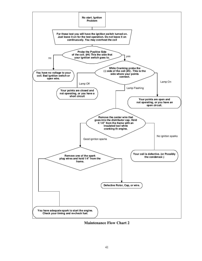

**Maintenance Flow Chart 2**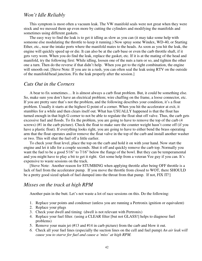### *Won't Idle Reliably*

This symptom is most often a vacuum leak. The VW manifold seals were not great when they were stock and we messed them up even more by cutting the cylinders and modifying the manifolds and sometimes using different gaskets.

The easy way to find the leak is to get it idling as slow as you can (it may take some help with someone else modulating the throttle to keep it running.) Now spray some Windex, WD-40, or Starting Ether, etc., near the intake ports where the manifold mates to the heads. As soon as you hit the leak, the engine will quickly speed up or die. It can also be at the carb base or even the carb throttle shaft, if it gets very worn. When you do find the leak, replace the gasket, etc. If it is at the mating of the head and manifold, try the following first: While idling, loosen one of the nuts a turn or so, and tighten the other one a turn. Then do the reverse if that didn't help. When you get to the right combination, the engine will smooth out. [Steve Note: If you are in a rush, you can often seal the leak using RTV on the outside of the manifold/head junction. Fix the leak properly after the session.]

#### *Cuts Out in the Corners*

A bear to fix sometimes… It is almost always a carb float problem. But, it could be something else. So, make sure you don't have an electrical problem; wire chaffing on the frame, a loose connector, etc. If you are pretty sure that's not the problem, and the following describes your condition, it's a float problem. Usually it starts at the highest G point of a corner. When you hit the accelerator at exit, it stumbles for a while and then clears itself out. What has USUALLY happened is that the float has turned enough in that high G corner to not be able to regulate the float shut off valve. Thus, the carb gets excessive fuel and floods. To fix the problem, you are going to have to remove the top of the carb (4 screws) (#1 in the carb picture). Check the float to make sure the counter weight hasn't come off (if you have a plastic float). If everything looks right, you are going to have to either bend the brass operating arm that the float operates and/or remove the float valve in the top of the carb and install another washer or two. This will shut the fuel off a little earlier.

To check your float level, place the top on the carb and hold it on with your hand. Now start the engine and let it idle for a couple seconds. Shut it off and quickly remove the carb top. Normally you want the fuel to be a good 5/16" to 7/16" below the flange of the bowl. But they can be temperamental and you might have to play a bit to get it right. Get some help from a veteran Vee guy if you can. It's expensive to waste sessions on the track.

[Steve Note: Another reason for STUMBING when applying throttle after being OFF throttle is a lack of fuel from the accelerator pump. If you move the throttle from closed to WOT, there SHOULD be a pretty good sized splash of fuel dumped into the throat from that pump. If not, FIX IT!]

#### *Misses on the track at high RPM*

Another pain in the butt. Let's not waste a lot of race sessions on this. Do the following:

- 1. Replace your points and condenser (unless you are running a Pertronix ignition or equivalent)
- 2. Replace your plugs
- 3. Check your dwell and timing (dwell is not relevant with Pertronix)
- 4. Replace your fuel filter. (using a CLEAR filter [but not GLASS!] helps to diagnose fuel problems)
- 5. Remove your main jet (#13 and #14 in carb picture) from the carb and blow it out.
- *6.* Check all your fuel lines (especially the suction lines on the cell and fuel pump) *An air leak will cause you to starve for fuel and cause a 'miss' at high RPM.*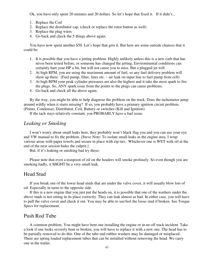Ok, you have only spent 20 minutes and 20 dollars. So let's hope that fixed it. If it didn't...

- 1. Replace the Coil
- 2. Replace the distributor cap. (check or replace the rotor button as well)
- 3. Replace the plug wires
- 4. Go back and check the 5 things above again.

You have now spent another \$50. Let's hope that gets it. But here are some outside chances that it could be:

- 1. It is possible that you have a jetting problem. Highly unlikely unless this is a new carb that has never been tested before, or someone has changed the jetting. Environmental conditions can certainly hurt your HP a bit, but will not cause you to miss. But a plugged jet will.
- 2. At high RPM, you are using the maximum amount of fuel, so any fuel delivery problem will show up there. (Fuel pump, filter, lines etc. – air leak on input line to fuel pump from cell)
- 3. At high RPM your peak cylinder pressures are also the highest and it take the most spark to fire the plugs. So, ANY spark issue from the points to the plugs can cause problems.
- 4. Go back and check all the above again.

By the way, you might be able to help diagnose the problem on the track. Does the tachometer jump around wildly when it starts missing? If so, you probably have a primary ignition circuit problem. (Points, Condenser, Distributor, Coil, Battery or switches (Kill and Ignition).

If the tach stays relatively constant, you PROBABLY have a fuel issue.

### *Leaking or Smoking*

I won't worry about small leaks here, they probably won't black flag you and you can use your eye and VW manual to fix the problem. [Steve Note: To isolate small leaks in the engine area, I wrap various areas with paper towels and secure in place with zip ties. Whichever one is WET with oil at the end of the next session hides the culprit.]

But, if it's leaking or smoking bad try these:

Please note that even a teaspoon of oil on the headers will smoke profusely. So even though you are smoking badly, it MIGHT be a very small leak.

#### Head Stud

If you break one of the lower head studs that are under the valve cover, it will usually blow lots of oil. Especially in turns to the opposite side.

If this is a new engine that you just put the heads on, it is possible that one of the washers under the above studs is not sitting in its place correctly. They can leak almost as bad. In either case, you will have to pull the valve cover and check it out. You may be able to see/feel the loose stud if broken. See Torque Specs for replacement.

#### Push Rod Tube

A common problem. You might have bent one installing the engine or in an off track incident. Take a look if one looks severely bent or broken, you will have to replace it with a new one. The head has to be partially removed to do this. One of the tube end rubber washers may be damaged or misplaced. There are spring loaded replacement tubes that can be installed without removing the head. We carry one in the trailer.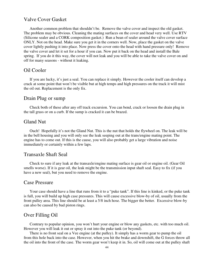### Valve Cover Gasket

Another common problem that shouldn't be. Remove the valve cover and inspect the old gasket. The problem may be obvious. Cleaning the mating surfaces on the cover and head very well. Use RTV (Silicone sealer and a CORK composition gasket.) Run a bean of sealer around the valve cover surface ONLY. Not on the head. Make sure you get it in the corners well. Now, place the gasket on the valve cover lightly pushing it into place. Now press the cover onto the head with hand pressure only! Remove the valve cover and let it set for a hour if you can. Now put it back on the head and install the Bale spring. If you do it this way, the cover will not leak and you will be able to take the valve cover on and off for many seasons - without it leaking.

#### Oil Cooler

If you are lucky, it's just a seal. You can replace it simply. However the cooler itself can develop a crack at some point that won't be visible but at high temps and high pressures on the track it will mist the oil out. Replacement is the only fix.

#### Drain Plug or sump

Check both of these after any off track excursion. You can bend, crack or loosen the drain plug in the tall grass or on a curb. If the sump is cracked it can be brazed.

### Gland Nut

Ouch! Hopefully it's not the Gland Nut. This is the nut that holds the flywheel on. The leak will be in the bell housing and you will only see the leak seeping out at the trans/engine mating point. The engine has to come out. If this is the cause, you will also probably get a large vibration and noise immediately or certainly within a few laps.

#### Transaxle Shaft Seal

Check to sure if any leak at the transaxle/engine mating surface is gear oil or engine oil. (Gear Oil smells worse). If it is gear oil, the leak might be the transmission input shaft seal. Easy to fix (if you have a new seal), but you need to remove the engine.

#### Case Pressure

Your case should have a line that runs from it to a "puke tank". If this line is kinked, or the puke tank is full, you will build up high case pressures. This will cause excessive blow-by of oil, usually from the front pulley area. This line should be at least a 5/8 inch hose. The bigger the better. Excessive blow-by can also be caused by bad piston rings.

#### Over Filling Oil

Contrary to popular opinion, you won't hurt your engine or blow any gaskets, etc. with too much oil. However you will leak it out or spray it out into the puke tank (or beyond).

There is no front seal on a Vee engine (at the pulley). It simply has a worm gear to pump the oil from this hole back into the case. However, when you hit the brake and downshift, the G forces throw all the oil into the front of the case. The worm gear won't keep it in. So, oil will come out at the pulley shaft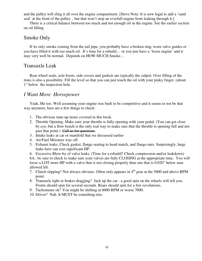and the pulley will sling it all over the engine compartment. [Steve Note: It is now legal to add a 'sand seal' at the front of the pulley .. but that won't stop an overfull engine from leaking through it.]

There is a critical balance between too much and not enough oil in the engine. See the earlier section on oil filling.

### Smoke Only

If its only smoke coming from the tail pipe, you probably have a broken ring, worn valve guides or you have filled it with too much oil. It's time for a rebuild… or you just have a 'loose engine' and it may very well be normal. Depends on HOW MUCH Smoke…

### Transaxle Leak

Rear wheel seals, axle boots, side covers and gaskets are typically the culprit. Over filling of the trans is also a possibility. Fill the level so that you can just touch the oil with your pinky finger. (about 1" below the inspection hole.

### *I Want More Horsepower*

Yeah, Me too. Well assuming your engine was built to be competitive and it seems to not be that way anymore, here are a few things to check:

- 1. The obvious tune-up items covered in this book.
- 2. Throttle Opening. Make sure your throttle is fully opening with your pedal. (You can get close by eye, but a flow bench is the only real way to make sure that the throttle is opening full and not past that point.) Call us for questions.
- 3. Intake leaks at car or manifold that we discussed earlier
- 4. Air/Fuel Mixtures way off.
- 5. Exhaust leaks. Check gasket, flange seating to head match, and flange nuts. Surprisingly, large leaks here can cost significant HP.
- 6. Excessive Blow-by of valve leaks. (Time for a rebuild? Check compression and/or leakdown)

6A.. be sure to check to make sure your valves are fully CLOSING at the appropriate time. You will loose a LOT more HP with a valve that is not closing properly than one that is 0.020" below max allowed lift.

- 7. Clutch slipping? Not always obvious. Often only appears in  $4<sup>th</sup>$  gear at the 5000 and above RPM point.
- 8. Transaxle tight or brakes dragging? Jack up the car a good spin on the wheels will tell you. Fronts should spin for several seconds. Rears should spin for a few revolutions.
- 9. Tachometer ok? You might be shifting at 6000 RPM or worse 7000.
- 10. Driver? Nah. It MUST be something else.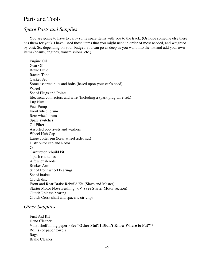### Parts and Tools

### *Spare Parts and Supplies*

You are going to have to carry some spare items with you to the track. (Or hope someone else there has them for you). I have listed those items that you might need in order of most needed, and weighted by cost. So, depending on your budget, you can go as deep as you want into the list and add your own items (beams, engines, transmissions, etc.).

Engine Oil Gear Oil Brake Fluid Racers Tape Gasket Set Some assorted nuts and bolts (based upon your car's need) Wheel Set of Plugs and Points Electrical connectors and wire (Including a spark plug wire set.) Lug Nuts Fuel Pump Front wheel drum Rear wheel drum Spare switches Oil Filter Assorted pop rivets and washers Wheel Hub Cap Large cotter pin (Rear wheel axle, nut) Distributor cap and Rotor Coil Carburetor rebuild kit 4 push rod tubes A few push rods Rocker Arm Set of front wheel bearings Set of brakes Clutch disc Front and Rear Brake Rebuild Kit (Slave and Master) Starter Motor Nose Bushing. 6V (See Starter Motor section) Clutch Release bearing Clutch Cross shaft and spacers, cir-clips

### *Other Supplies*

First Aid Kit Hand Cleaner Vinyl shelf lining paper (See **"Other Stuff I Didn't Know Where to Put"**)\* Roll(s) of paper towels Rags Brake Cleaner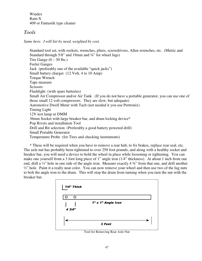Windex Rain-X 409 or Fantastik type cleaner

### *Tools*

*Same here. I will list by need, weighted by cost.* 

Standard tool set, with sockets, wrenches, pliers, screwdrivers, Allen wrenches, etc. (Metric and Standard through  $5/8$ " and 19mm and  $\frac{3}{4}$ " for wheel lugs) Tire Gauge  $(0 - 30$  lbs.) Feeler Gauges Jack (preferably one of the available "quick jacks") Small battery charger (12 Volt, 4 to 10 Amp) Torque Wrench Tape measure **Scissors** Flashlight (with spare batteries) Small Air Compressor and/or Air Tank. (If you do not have a portable generator, you can use one of those small 12 volt compressors. They are slow, but adequate) Automotive Dwell Meter with Tach (not needed it you use Pertronix) Timing Light 12V test lamp or DMM 36mm Socket with large breaker bar, and drum locking device\* Pop Rivets and installation Tool Drill and Bit selection (Preferably a good battery powered drill) Small Portable Generator Temperature Probe (for Tires and checking instruments)

\* These will be required when you have to remove a rear hub, to fix brakes, replace rear seal, etc. The axle nut has probably been tightened to over 250 foot pounds, and along with a healthy socket and breaker bar, you will need a device to hold the wheel in place while loosening or tightening. You can make one yourself from a 3 foot long piece of 1" angle iron (1/4" thickness). At about 1 inch from one end, drill a ½" hole in one side of the angle iron. Measure exactly 4 ¾" from that one, and drill another  $\frac{1}{2}$ " hole. Paint it a really neat color. You can now remove your wheel and then use two of the lug nuts to bolt the angle iron to the drum. This will stop the drum from turning when you turn the nut with the breaker bar.



Tool for Removing Rear Axle Nut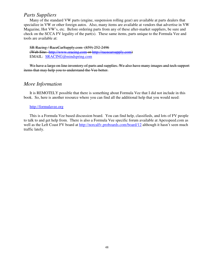### *Parts Suppliers*

Many of the standard VW parts (engine, suspension rolling gear) are available at parts dealers that specialize in VW or other foreign autos. Also, many items are available at vendors that advertise in VW Magazine, Hot VW's, etc. Before ordering parts from any of these after-market suppliers, be sure and check on the SCCA FV legality of the part(s). These same items, parts unique to the Formula Vee and tools are available at:

SR Racing / RaceCarSupply.com (859) 252-2496 (Web Site: http://www.sracing.com or http://racecarsupply.com) EMAIL: SRACING@mindspring.com

We have a large on line inventory of parts and supplies. We also have many images and tech support items that may help you to understand the Vee better.

### *More Information*

It is REMOTELY possible that there is something about Formula Vee that I did not include in this book. So, here is another resource where you can find all the additional help that you would need:

#### http://formulavee.org

This is a Formula Vee based discussion board. You can find help, classifieds, and lots of FV people to talk to and get help from. There is also a Formula Vee specific forum available at Apexspeed.com as well as the Left Coast FV board at http://norcalfv.proboards.com/board/12 although it hasn't seen much traffic lately.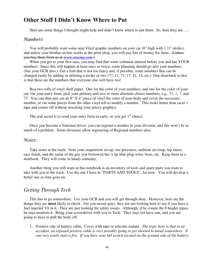### **Other Stuff I Didn't Know Where to Put**

Here are some things I thought might help and didn't know where to put them. So, here they are.....

### *Numbers*

You will probably want some neat Vinyl graphic numbers on your car  $(8"$  high with  $1\frac{1}{2}$ " stroke), and unless your brother-in-law works at the print shop, you will pay lots of money for them. (Unless you buy them from us at www.sracing.com.)

When you get to your first race, you may find that some schmuck entered before you and has YOUR numbers. Since this will happen at least once or twice, some planning should go into your numbers. (See your GCR also.) Get a font that is not too fancy and, if possible, some numbers that can be changed easily by adding or deleting a stroke or two (77, 11, 71, 17, 41, 14, etc.) One drawback to this is that these are the numbers that everyone else will have too!

Buy two rolls of vinyl shelf paper. One for the color of your numbers, and one for the color of your car. On your entry form, pick your primary and two or more alternate choice numbers, e.g., 71, 1, 7, and 77. You can then just cut an 8" X 4" piece of vinyl the color of your body and cover the necessary number, or cut some pieces from the other vinyl roll to modify a number. This looks better than racer's tape and comes off without wrecking your pricey graphics.

The real secret is to send your entry form in early, so you get  $1<sup>st</sup>$  choice.

Once you become a National driver, you can register a number in your division, and this won't be as much of a problem. Some divisions allow registering of Regional numbers also.

#### *Notes:*

Take notes at the track. Note your suspension set-up, tire pressures, ambient air temp, lap times, race finish, and the name of the guy you borrowed the ¼ hp blue plug wires from, etc. Keep them in a notebook. They will come in handy someday.

Another thing you will want in this notebook is an inventory of tools and spare parts you want to take with you to the track. Use the one I have in "PARTS AND TOOLS", for now. You will develop a better one as time goes on.

### *Getting Through Tech*

This has to go somewhere. Use your GCR and you will get through okay. However, here are the things they are **most** likely to check. For you newer guys, they are not looking here to see if you have a fuel injected V8 in it. They are just looking for safety issues. Although, if he counts the 8 header pipes, he may mention it. Bring your screwdriver with you to Tech. They may not have one, and you are going to have to pull the body off.

1. Positive side of battery cable. Cover with tape or silicone sealant. *The logic here is that in an accident, an exposed positive cable is very possibly going to get shorted to metal somewhere. It can very easily start a fire. If you have your kill switch located on the ground side of the battery,*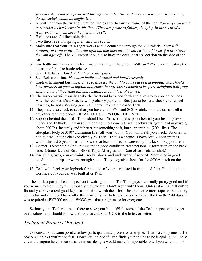*you may also want to tape or seal the negative side also. If it were to short against the frame, the kill switch would be ineffective*.

- 2. A vent line from the fuel cell that terminates at or below the frame of the car. *You may also want to consider a check valve in this line. (They are prone to failure, though.) In the event of a rollover, it will help keep the fuel in the cell*.
- 3. Fuel lines and Oil lines shielded.
- 4. Two throttle return springs. *In case one breaks*.
- 5. Make sure that your Rain Light works and is connected through the kill switch. *They will normally ask you to turn the rain light on, and then turn the kill switch off to see if it also turns the rain light off*. The kill switch should also have the decal near its location on the side of the car.
- 6. Fire bottle mechanics and a level meter reading in the green. With an "E" sticker indicating the location of the fire bottle release.
- 7. Seat Belt dates. *Dated within 5 calendar years.*
- 8. Seat Belt condition. *Not worn badly and routed and laced correctly*.
- 9. Captive heimjoint bushings. *It is possible for the ball to come out of a heimjoint. You should have washers on your heimjoint bolts/nuts that are large enough to keep the heimjoint ball from slipping out of the heimjoint, and resulting in total loss of control.*
- 10. The inspector will usually shake the front end back and forth and give a very concerned look. After he realizes it's a Vee, he will probably pass you. But, just to be sure, check your wheel bearings, tie rods, steering gear, etc., before taking the car to Tech.
- 11. They may also check to see that you have your "FV" and SCCA stickers on the car as well as any other required decals. (READ THE SUPPS FOR THE EVENT.)
- 12. Support behind the head. There should be a **firm,** padded support behind your head. (36+ sq. inches and 1" thick). If you spin the thing into a concrete wall backwards, your head may weigh about 200 lbs. instantly and it better hit something soft, but supportable. (200+ lbs.) The fiberglass body or .040" aluminum firewall won't do it. You will break your neck. As often or not, this will not be checked closely by Tech. That is a shame. I have seen 2 neck injuries within the last 5 years that I think were, at least indirectly, caused by this lack of support item.
- 13. Helmet. (Acceptable Snell rating and in good condition, with personal information on the back side. (Name, Date of Birth, Blood Type, Allergies, and Date of last Tetanus shot.))
- 14. Fire suit, gloves, arm restraints, socks, shoes, and underwear, if needed. Should be in good condition – no rips or worn through spots. They may also check for the SCCA patch on the uniform.
- 15. Tech will check your logbook for pictures of your car posted in front, and for a Homologation Certificate if your car was built after 1983.

The hardest part of Tech inspection is waiting in line. The Tech guys are usually pretty good and if you're nice to them, they will probably reciprocate. Don't argue with them. Unless it is real difficult to fix and you have a real good legal case, it ain't worth the effort. Just put some more tape on the battery connector and shut up. Thankfully, this now only has to be done once per year. Back in the 'old days' it was required at EVERY event – WOW, was that a nightmare for everyone.

Seriously, the Tech routine is there to save your butt. While some of the Tech inspectors may get overzealous, you should follow their advice and your GCR to the letter, or better.

#### *Technical Protests (Engine)*

Conceivably, at some point a fellow participant may protest your engine. That's a compliment. He obviously thinks you're too fast. However, it's bad if Tech finds your engine to be illegal. (I will only cover the engine here, since variance in car designs would make it impossible to tell you what to look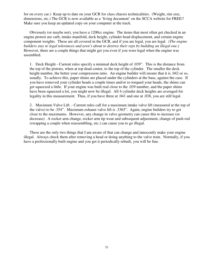for on every car.) Keep up to date on your GCR for class chassis technicalities. (Weight, rim size, dimensions, etc.) The GCR is now available as a 'living document' on the SCCA website for FREE!! Make sure you keep an updated copy on your computer at the track.

Obviously (or maybe not), you have a 1200cc engine. The items that most often get checked in an engine protest are carb, intake manifold, deck height, cylinder head displacement, and certain engine component weights. These are all covered in the GCR, and if you are legal, you are legal. *(The engine builders stay to legal tolerances and aren't about to destroy their reps by building an illegal one.)* However, there are a couple things that might get you even if you were legal when the engine was assembled.

1. Deck Height - Current rules specify a minimal deck height of .039". This is the distance from the top of the pistons, when at top dead center, to the top of the cylinder. The smaller the deck height number, the better your compression ratio. An engine builder will ensure that it is .042 or so, usually. To achieve this, paper shims are placed under the cylinders at the base, against the case. If you have removed your cylinder heads a couple times and/or re-torqued your heads, the shims can get squeezed a little. If your engine was built real close to the .039 number, and the paper shims have been squeezed a lot, you might now be illegal. All 4 cylinder deck heights are averaged for legality in this measurement. Thus, if you have three at .041 and one at .038, you are still legal.

2. Maximum Valve Lift. - Current rules call for a maximum intake valve lift (measured at the top of the valve) to be .354". Maximum exhaust valve lift is .3365". Again, engine builders try to get close to the maximums. However, any change in valve geometry can cause this to increase (or decrease). A rocker arm change, rocker arm tip wear and subsequent adjustment, change of push rod (swapping a couple when reassembling, etc.) can cause you to go illegal.

These are the only two things that I am aware of that can change and innocently make your engine illegal. Always check them after removing a head or doing anything to the valve train. Normally, if you have a professionally built engine and you get it periodically rebuilt, you will be fine.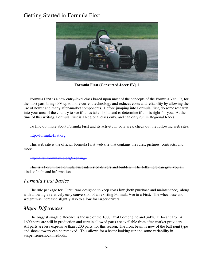## Getting Started in Formula First



**Formula First (Converted Jacer FV) 1** 

Formula First is a new entry-level class based upon most of the concepts of the Formula Vee. It, for the most part, brings FV up to more current technology and reduces costs and reliability by allowing the use of newer and many after-market components. Before jumping into Formula First, do some research into your area of the country to see if it has taken hold, and to determine if this is right for you. At the time of this writing, Formula First is a Regional class only, and can only run in Regional Races.

To find out more about Formula First and its activity in your area, check out the following web sites:

#### http://formula-first.org

This web site is the official Formula First web site that contains the rules, pictures, contracts, and more.

#### http://first.formulavee.org/exchange

This is a Forum for Formula First interested drivers and builders. The folks here can give you all kinds of help and information.

### *Formula First Basics*

The rule package for "First" was designed to keep costs low (both purchase and maintenance), along with allowing a relatively easy conversion of an existing Formula Vee to a First. The wheelbase and weight was increased slightly also to allow for larger drivers.

### *Major Differences*

The biggest single difference is the use of the 1600 Dual Port engine and 34PICT Bocar carb. All 1600 parts are still in production and certain allowed parts are available from after-market providers. All parts are less expensive than 1200 parts, for this reason. The front beam is now of the ball joint type and shock towers can be removed. This allows for a better looking car and some variability in suspension/shock methods.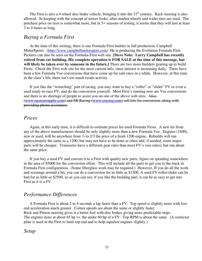The First is also a 4 wheel disc brake vehicle, bringing it into the  $21<sup>st</sup>$  century. Rack steering is also allowed. In keeping with the concept of newer looks, after-market wheels and wider tires are used. The purchase price on tires is somewhat more, but in 5+ seasons of testing, it seems that they will last at least 3 to 4 times as long.

### *Buying a Formula First*

At the time of this writing, there is one Formula First builder in full production, Campbell MotorSports. (http://www.campbellmotorsport.com) He is producing the Evolution Formula First. Pictures can also be seen on the Formula-First web site. **[Steve Note: Larry Campbell has recently retired from car building. His complete operation is FOR SALE at the time of this message, but will likely be taken over by someone in the future.]** There are two more builders gearing up to build Firsts. Check the First web site for the most current info, since interest is increasing daily. There have been a few Formula Vee conversions that have come up for sale once in a while. However, at this time in the class's life, there isn't too much resale activity.

If you like the "wrenching" part of racing, you may want to buy a "roller" or "slider" FV or even a used ready-to-race FV, and do the conversion yourself. Most First's running now are Vee conversions and there is no shortage of people to assist you on one of the above web sites. Also, (www.racecarsupply.com) and SR Racing (www.sracing.com) sell kits for conversion, along with providing phone assistance.

#### *Prices*

Again, at this early time, it is difficult to estimate prices for used Formula Firsts. A new kit from any of the above manufacturers should be only slightly more than a new Formula Vee. Engines (1600), new or used, will be anywhere from ½ to 2/3 the price of a fresh 1200 engine. Rebuilds will run approximately the same as a 1200, but may not have to be done as often and, if needed, some major parts will be cheaper. Transaxles have a different gear ratio than most FV's (see rules), but run about the same price.

If you buy a used FV and convert it to a First with quality new parts, figure on spending somewhere in the area of \$5000 for the conversion effort. This will include all the parts to get you to the track in Formula First configuration. (Some fiberglass work may be required.) However, If you do all the work and scrounge around a bit, you can do a conversion for as little as \$1500. A used FV roller/slider can be had for as little as \$2500, so as you can see, if you like the building part, it can be as easy to get into First as it is a FV.

### *Performance Differences*

A Formula First is about 2 to 4 seconds a lap faster than a FV. Top speed is slightly more with lowend acceleration much greater. Corner speeds are about the same or slightly faster. Rack and Pinion steering gives it a better feel with disc brakes giving more predictable stops. The engines dyno at about 85 hp vs. the under 60 hp of a FV. Top RPM is about the same. (A restrictor plate is used in the First to limit top end and to help equalize engines slightly.)

*Setup*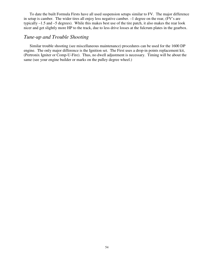To date the built Formula Firsts have all used suspension setups similar to FV. The major difference in setup is camber. The wider tires all enjoy less negative camber. –1 degree on the rear, (FV's are typically –1.5 and –5 degrees). While this makes best use of the tire patch, it also makes the rear look nicer and get slightly more HP to the track, due to less drive losses at the fulcrum plates in the gearbox.

### *Tune-up and Trouble Shooting*

Similar trouble shooting (see miscellaneous maintenance) procedures can be used for the 1600 DP engine. The only major difference is the Ignition set. The First uses a drop-in points replacement kit, (Pertronix Igniter or Comp-U-Fire). Thus, no dwell adjustment is necessary. Timing will be about the same (see your engine builder or marks on the pulley degree wheel.)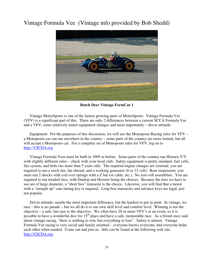### Vintage Formula Vee (Vintage info provided by Bob Shedd)



**Butch Deer Vintage FormCar 1** 

Vintage MotorSports is one of the fastest growing parts of MotorSports. Vintage Formula Vee (VFV) is a significant part of this. There are only 2 differences between a current SCCA Formula Vee and a VFV; some relatively minor equipment changes and most importantly – driver attitude.

Equipment: For the purposes of this discussion, we will use the Monoposto Racing rules for VFV – a Monoposto car can run anywhere in the country – some parts of the country are more lenient, but all will accept a Monoposto car. For a complete set of Monoposto rules for VFV, log on to http://VSCDA.org.

Vintage Formula Vees must be built in 1969 or before. Some parts of the country run Historic F/V with slightly different rules – check with your local club. Safety equipment is pretty standard, fuel cells, fire system, and belts (no more than 5 years old). The required engine changes are external: you are required to run a stock fan, fan shroud, and a working generator (6 or 12 volt). Rear suspension: you must run 2 shocks with coil over springs with a Z bar (or cable, etc.). No zero roll assemblies. You are required to run treaded tires, with Dunlop and Hoosier being the choices. Because the tires we have to use are of large diameter, a "short box" transaxle is the choice. Likewise, you will find that a motor with a "straight up" cam timing key is required. Long box transaxles and advance keys are legal, just not popular.

Driver attitude: maybe the most important difference, but the hardest to put in print. In vintage, we race – this is no parade – but we all do it to our own skill level and comfort level. Winning is not the objective – a safe, fun race is the objective. We often have 20 or more VFV's at an event, so it is possible to have a wonderful dice for 15<sup>th</sup> place and have a safe, memorable race. As a friend once said about vintage racing, "there is nothing to win, but everything to lose". Safety is utmost. Vintage Formula Vee racing is very social and family oriented – everyone knows everyone, and everyone helps each other when needed. Come out and join us. Info can be found at the following web site: http://VSCDA.org.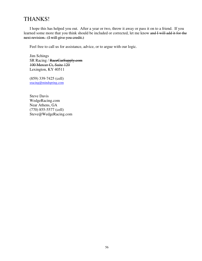### THANKS!

I hope this has helped you out. After a year or two, throw it away or pass it on to a friend. If you learned some more that you think should be included or corrected, let me know and I will add it for the next revision. (I will give you credit.)

Feel free to call us for assistance, advice, or to argue with our logic.

Jim Schings SR Racing / RaceCarSupply.com 100 Mercer Ct, Suite 120 Lexington, KY 40511

(859) 339-7425 (cell) sracing@mindspring.com

Steve Davis WedgeRacing.com Near Athens, GA (770) 855-5577 (cell) Steve@WedgeRacing.com